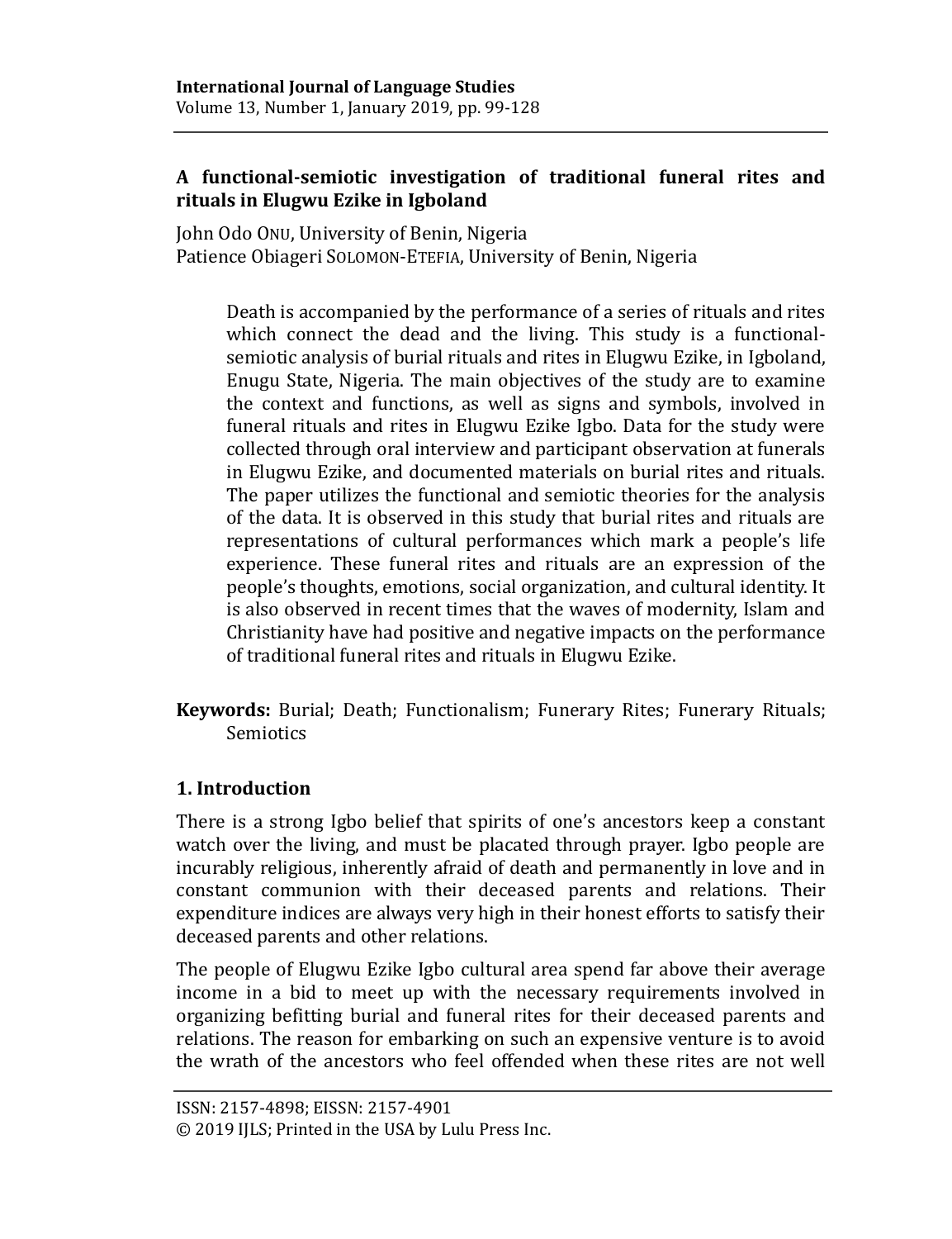# **A functional-semiotic investigation of traditional funeral rites and rituals in Elugwu Ezike in Igboland**

John Odo ONU, University of Benin, Nigeria Patience Obiageri SOLOMON-ETEFIA, University of Benin, Nigeria

Death is accompanied by the performance of a series of rituals and rites which connect the dead and the living. This study is a functionalsemiotic analysis of burial rituals and rites in Elugwu Ezike, in Igboland, Enugu State, Nigeria. The main objectives of the study are to examine the context and functions, as well as signs and symbols, involved in funeral rituals and rites in Elugwu Ezike Igbo. Data for the study were collected through oral interview and participant observation at funerals in Elugwu Ezike, and documented materials on burial rites and rituals. The paper utilizes the functional and semiotic theories for the analysis of the data. It is observed in this study that burial rites and rituals are representations of cultural performances which mark a people's life experience. These funeral rites and rituals are an expression of the people's thoughts, emotions, social organization, and cultural identity. It is also observed in recent times that the waves of modernity, Islam and Christianity have had positive and negative impacts on the performance of traditional funeral rites and rituals in Elugwu Ezike.

**Keywords:** Burial; Death; Functionalism; Funerary Rites; Funerary Rituals; Semiotics

# **1. Introduction**

There is a strong Igbo belief that spirits of one's ancestors keep a constant watch over the living, and must be placated through prayer. Igbo people are incurably religious, inherently afraid of death and permanently in love and in constant communion with their deceased parents and relations. Their expenditure indices are always very high in their honest efforts to satisfy their deceased parents and other relations.

The people of Elugwu Ezike Igbo cultural area spend far above their average income in a bid to meet up with the necessary requirements involved in organizing befitting burial and funeral rites for their deceased parents and relations. The reason for embarking on such an expensive venture is to avoid the wrath of the ancestors who feel offended when these rites are not well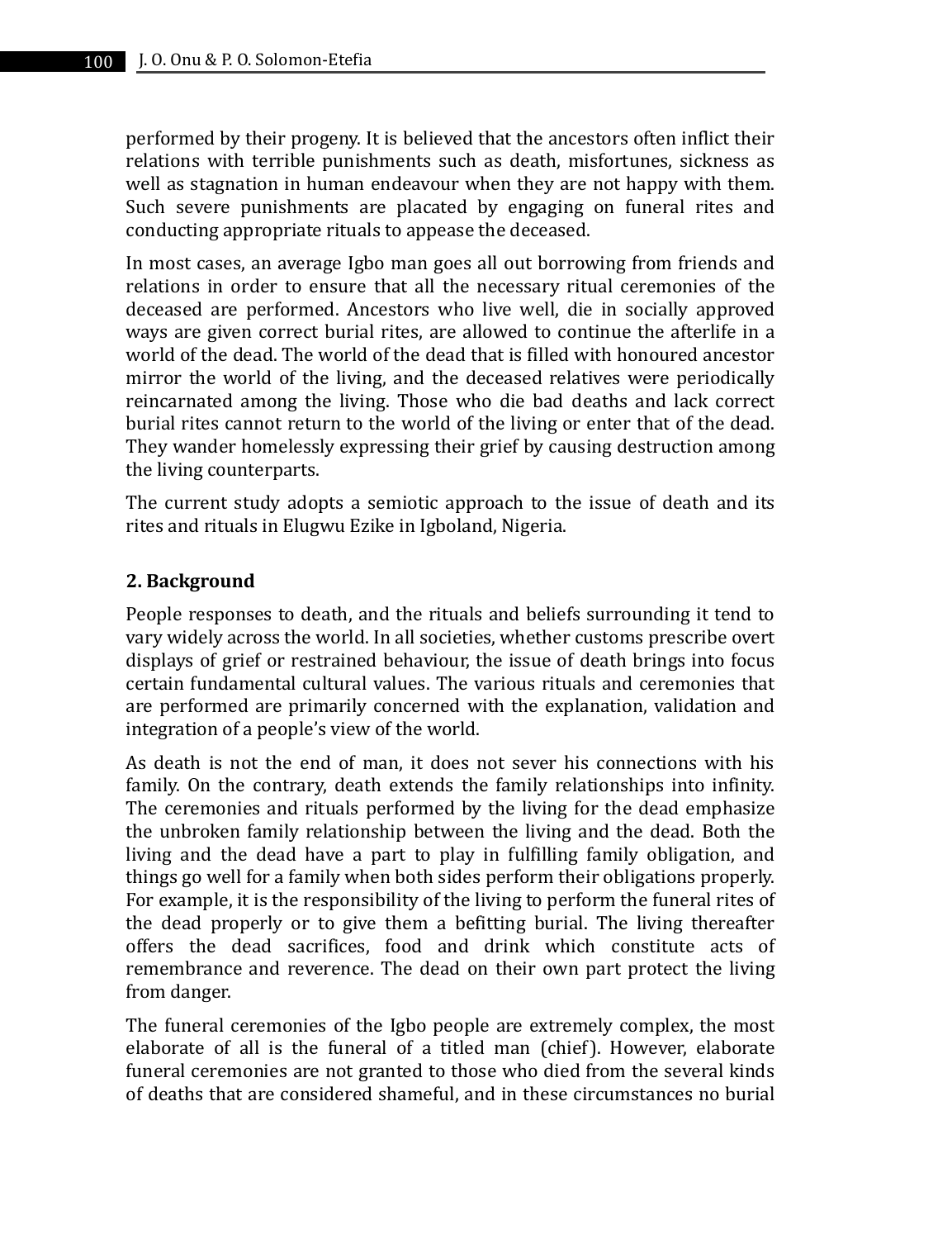performed by their progeny. It is believed that the ancestors often inflict their relations with terrible punishments such as death, misfortunes, sickness as well as stagnation in human endeavour when they are not happy with them. Such severe punishments are placated by engaging on funeral rites and conducting appropriate rituals to appease the deceased.

In most cases, an average Igbo man goes all out borrowing from friends and relations in order to ensure that all the necessary ritual ceremonies of the deceased are performed. Ancestors who live well, die in socially approved ways are given correct burial rites, are allowed to continue the afterlife in a world of the dead. The world of the dead that is filled with honoured ancestor mirror the world of the living, and the deceased relatives were periodically reincarnated among the living. Those who die bad deaths and lack correct burial rites cannot return to the world of the living or enter that of the dead. They wander homelessly expressing their grief by causing destruction among the living counterparts.

The current study adopts a semiotic approach to the issue of death and its rites and rituals in Elugwu Ezike in Igboland, Nigeria.

### **2. Background**

People responses to death, and the rituals and beliefs surrounding it tend to vary widely across the world. In all societies, whether customs prescribe overt displays of grief or restrained behaviour, the issue of death brings into focus certain fundamental cultural values. The various rituals and ceremonies that are performed are primarily concerned with the explanation, validation and integration of a people's view of the world.

As death is not the end of man, it does not sever his connections with his family. On the contrary, death extends the family relationships into infinity. The ceremonies and rituals performed by the living for the dead emphasize the unbroken family relationship between the living and the dead. Both the living and the dead have a part to play in fulfilling family obligation, and things go well for a family when both sides perform their obligations properly. For example, it is the responsibility of the living to perform the funeral rites of the dead properly or to give them a befitting burial. The living thereafter offers the dead sacrifices, food and drink which constitute acts of remembrance and reverence. The dead on their own part protect the living from danger.

The funeral ceremonies of the Igbo people are extremely complex, the most elaborate of all is the funeral of a titled man (chief). However, elaborate funeral ceremonies are not granted to those who died from the several kinds of deaths that are considered shameful, and in these circumstances no burial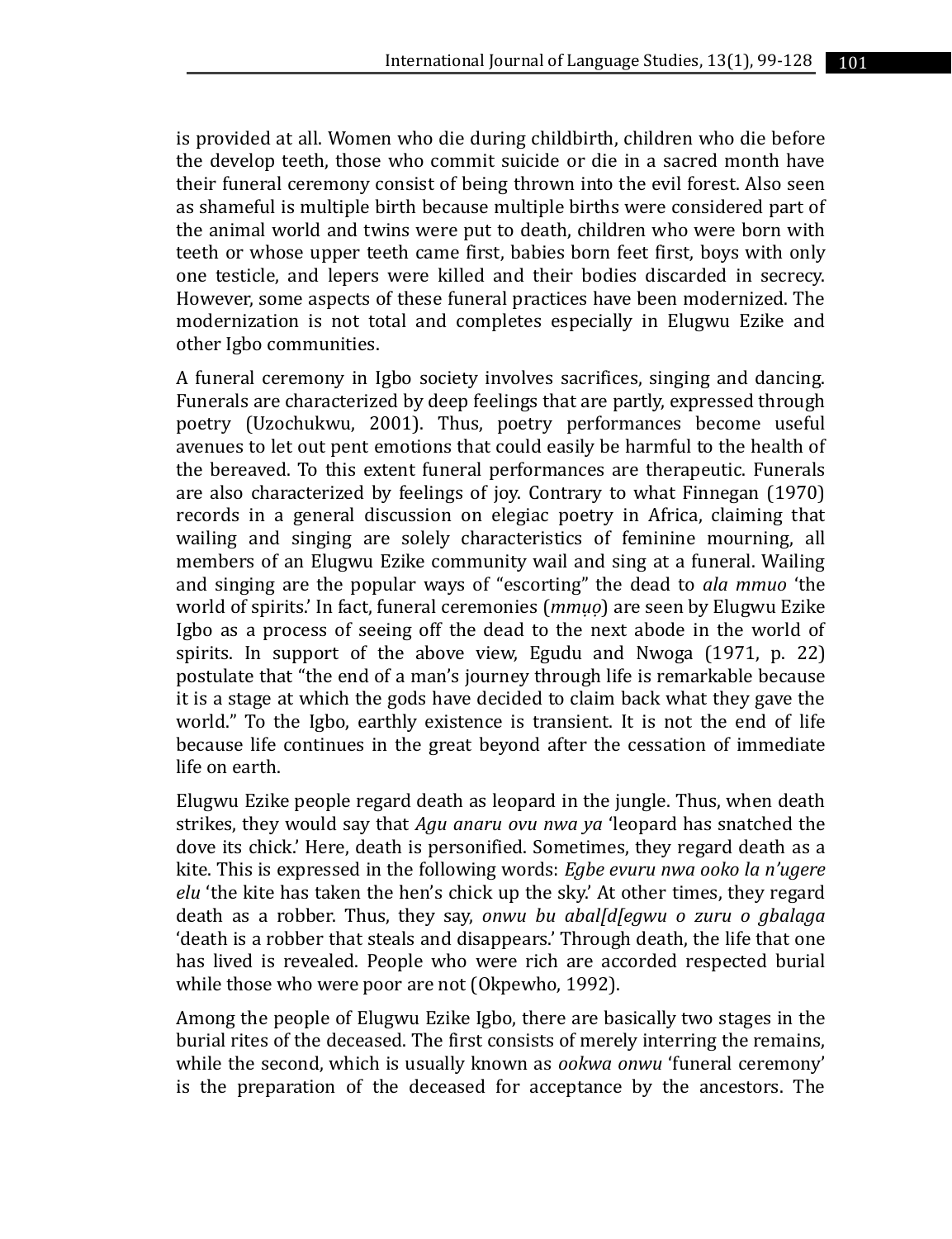is provided at all. Women who die during childbirth, children who die before the develop teeth, those who commit suicide or die in a sacred month have their funeral ceremony consist of being thrown into the evil forest. Also seen as shameful is multiple birth because multiple births were considered part of the animal world and twins were put to death, children who were born with teeth or whose upper teeth came first, babies born feet first, boys with only one testicle, and lepers were killed and their bodies discarded in secrecy. However, some aspects of these funeral practices have been modernized. The modernization is not total and completes especially in Elugwu Ezike and other Igbo communities.

A funeral ceremony in Igbo society involves sacrifices, singing and dancing. Funerals are characterized by deep feelings that are partly, expressed through poetry (Uzochukwu, 2001). Thus, poetry performances become useful avenues to let out pent emotions that could easily be harmful to the health of the bereaved. To this extent funeral performances are therapeutic. Funerals are also characterized by feelings of joy. Contrary to what Finnegan (1970) records in a general discussion on elegiac poetry in Africa, claiming that wailing and singing are solely characteristics of feminine mourning, all members of an Elugwu Ezike community wail and sing at a funeral. Wailing and singing are the popular ways of "escorting" the dead to *ala mmuo* 'the world of spirits.' In fact, funeral ceremonies (*mmụọ*) are seen by Elugwu Ezike Igbo as a process of seeing off the dead to the next abode in the world of spirits. In support of the above view, Egudu and Nwoga (1971, p. 22) postulate that "the end of a man's journey through life is remarkable because it is a stage at which the gods have decided to claim back what they gave the world." To the Igbo, earthly existence is transient. It is not the end of life because life continues in the great beyond after the cessation of immediate life on earth.

Elugwu Ezike people regard death as leopard in the jungle. Thus, when death strikes, they would say that *Agu anaru ovu nwa ya* 'leopard has snatched the dove its chick.' Here, death is personified. Sometimes, they regard death as a kite. This is expressed in the following words: *Egbe evuru nwa ooko la n'ugere elu* 'the kite has taken the hen's chick up the sky.' At other times, they regard death as a robber. Thus, they say, *onwu bu abal[d[egwu o zuru o gbalaga*  'death is a robber that steals and disappears.' Through death, the life that one has lived is revealed. People who were rich are accorded respected burial while those who were poor are not (Okpewho, 1992).

Among the people of Elugwu Ezike Igbo, there are basically two stages in the burial rites of the deceased. The first consists of merely interring the remains, while the second, which is usually known as *ookwa onwu* 'funeral ceremony' is the preparation of the deceased for acceptance by the ancestors. The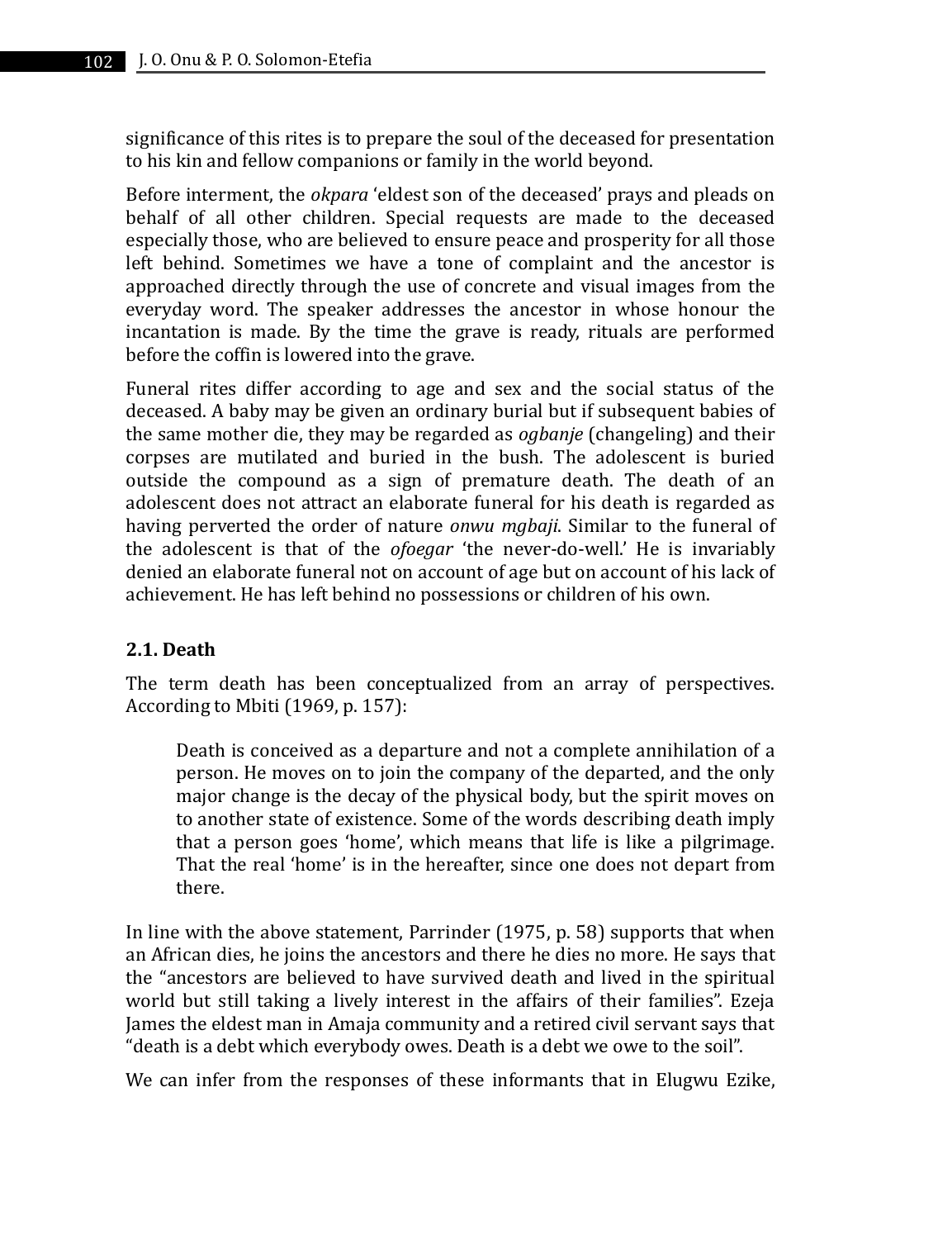significance of this rites is to prepare the soul of the deceased for presentation to his kin and fellow companions or family in the world beyond.

Before interment, the *okpara* 'eldest son of the deceased' prays and pleads on behalf of all other children. Special requests are made to the deceased especially those, who are believed to ensure peace and prosperity for all those left behind. Sometimes we have a tone of complaint and the ancestor is approached directly through the use of concrete and visual images from the everyday word. The speaker addresses the ancestor in whose honour the incantation is made. By the time the grave is ready, rituals are performed before the coffin is lowered into the grave.

Funeral rites differ according to age and sex and the social status of the deceased. A baby may be given an ordinary burial but if subsequent babies of the same mother die, they may be regarded as *ogbanje* (changeling) and their corpses are mutilated and buried in the bush. The adolescent is buried outside the compound as a sign of premature death. The death of an adolescent does not attract an elaborate funeral for his death is regarded as having perverted the order of nature *onwu mgbaji*. Similar to the funeral of the adolescent is that of the *ofoegar* 'the never-do-well.' He is invariably denied an elaborate funeral not on account of age but on account of his lack of achievement. He has left behind no possessions or children of his own.

# **2.1. Death**

The term death has been conceptualized from an array of perspectives. According to Mbiti (1969, p. 157):

Death is conceived as a departure and not a complete annihilation of a person. He moves on to join the company of the departed, and the only major change is the decay of the physical body, but the spirit moves on to another state of existence. Some of the words describing death imply that a person goes 'home', which means that life is like a pilgrimage. That the real 'home' is in the hereafter, since one does not depart from there.

In line with the above statement, Parrinder (1975, p. 58) supports that when an African dies, he joins the ancestors and there he dies no more. He says that the "ancestors are believed to have survived death and lived in the spiritual world but still taking a lively interest in the affairs of their families". Ezeja James the eldest man in Amaja community and a retired civil servant says that "death is a debt which everybody owes. Death is a debt we owe to the soil".

We can infer from the responses of these informants that in Elugwu Ezike,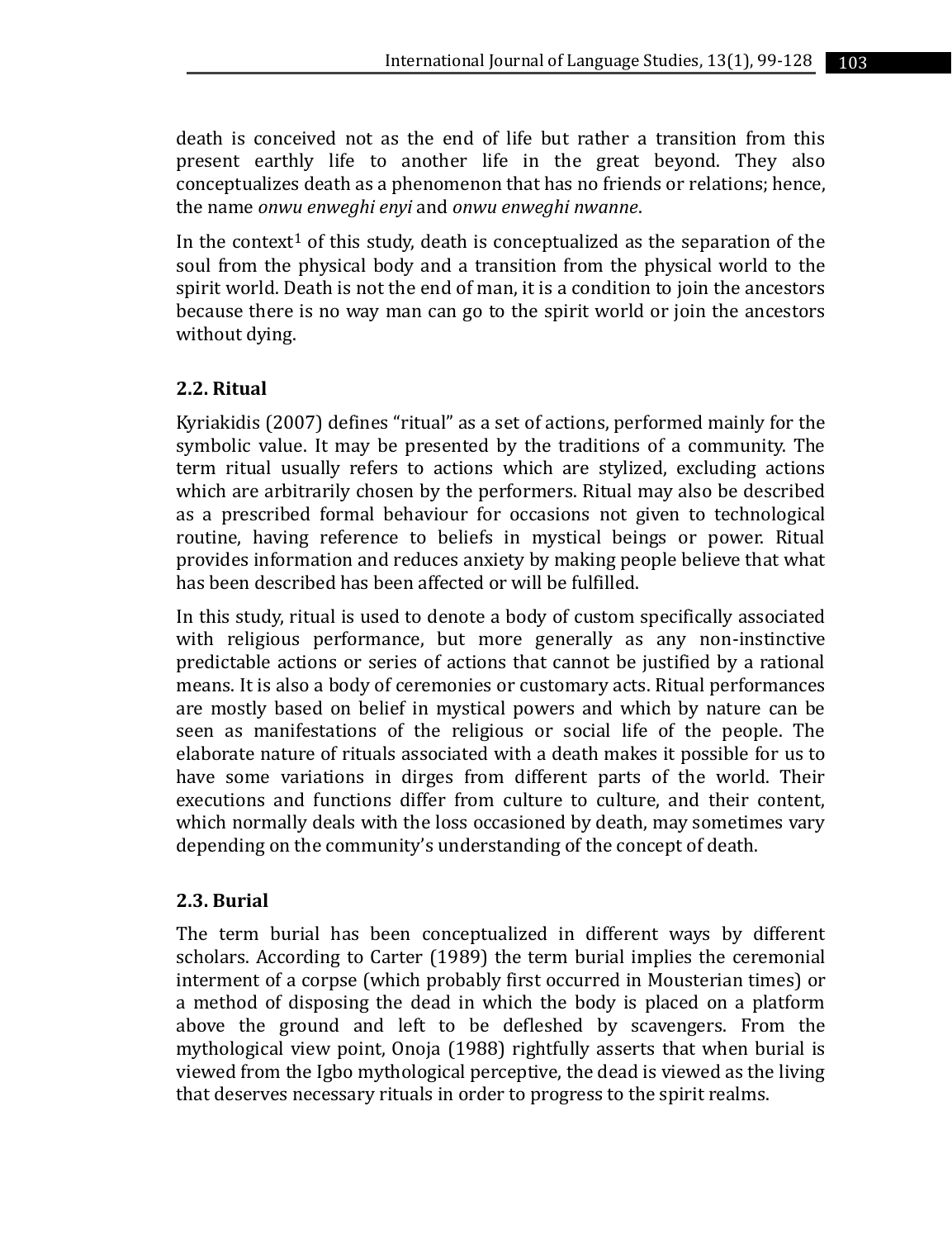death is conceived not as the end of life but rather a transition from this present earthly life to another life in the great beyond. They also conceptualizes death as a phenomenon that has no friends or relations; hence, the name *onwu enweghi enyi* and *onwu enweghi nwanne*.

In the context<sup>1</sup> of this study, death is conceptualized as the separation of the soul from the physical body and a transition from the physical world to the spirit world. Death is not the end of man, it is a condition to join the ancestors because there is no way man can go to the spirit world or join the ancestors without dying.

### **2.2. Ritual**

Kyriakidis (2007) defines "ritual" as a set of actions, performed mainly for the symbolic value. It may be presented by the traditions of a community. The term ritual usually refers to actions which are stylized, excluding actions which are arbitrarily chosen by the performers. Ritual may also be described as a prescribed formal behaviour for occasions not given to technological routine, having reference to beliefs in mystical beings or power. Ritual provides information and reduces anxiety by making people believe that what has been described has been affected or will be fulfilled.

In this study, ritual is used to denote a body of custom specifically associated with religious performance, but more generally as any non-instinctive predictable actions or series of actions that cannot be justified by a rational means. It is also a body of ceremonies or customary acts. Ritual performances are mostly based on belief in mystical powers and which by nature can be seen as manifestations of the religious or social life of the people. The elaborate nature of rituals associated with a death makes it possible for us to have some variations in dirges from different parts of the world. Their executions and functions differ from culture to culture, and their content, which normally deals with the loss occasioned by death, may sometimes vary depending on the community's understanding of the concept of death.

#### **2.3. Burial**

The term burial has been conceptualized in different ways by different scholars. According to Carter (1989) the term burial implies the ceremonial interment of a corpse (which probably first occurred in Mousterian times) or a method of disposing the dead in which the body is placed on a platform above the ground and left to be defleshed by scavengers. From the mythological view point, Onoja (1988) rightfully asserts that when burial is viewed from the Igbo mythological perceptive, the dead is viewed as the living that deserves necessary rituals in order to progress to the spirit realms.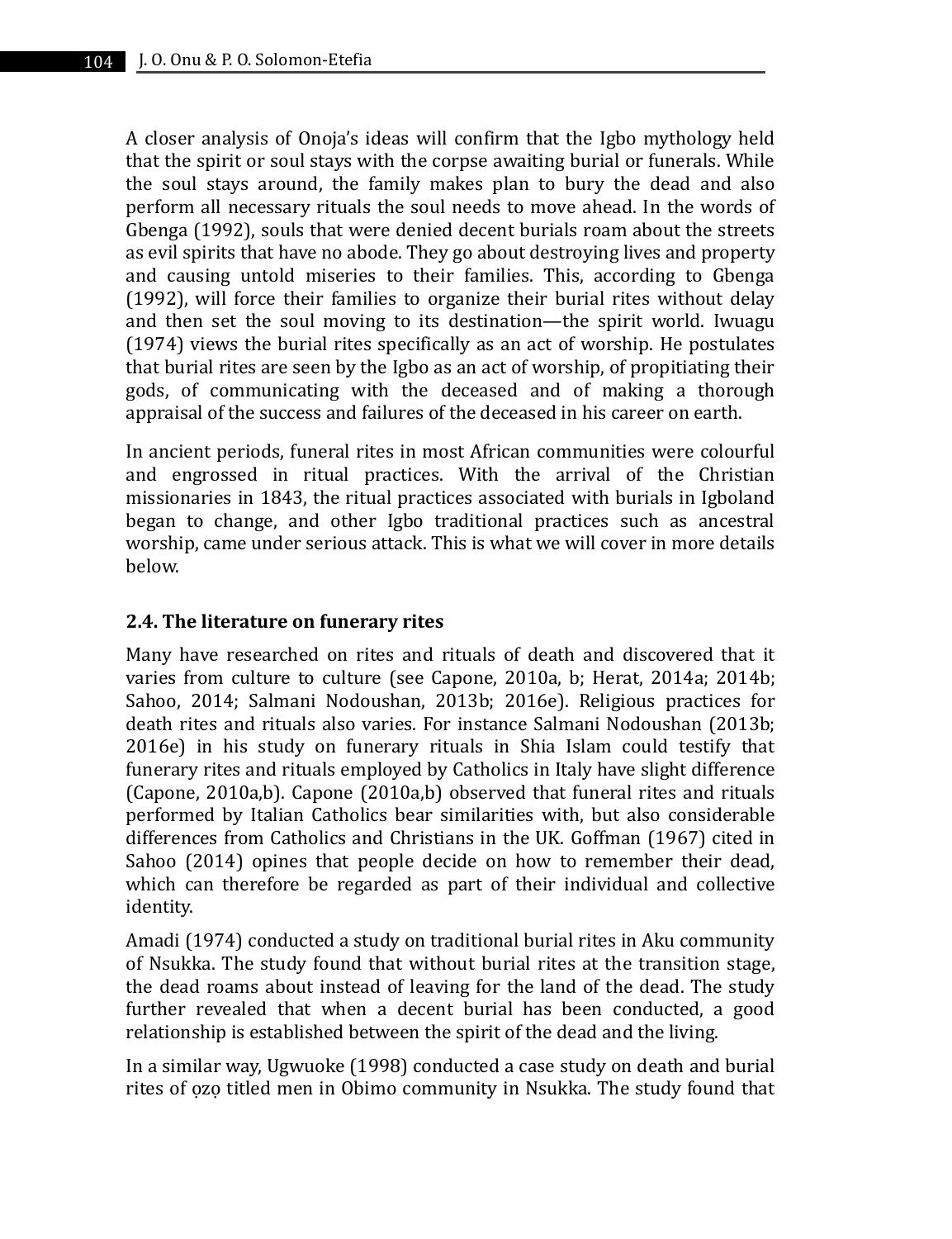A closer analysis of Onoja's ideas will confirm that the Igbo mythology held that the spirit or soul stays with the corpse awaiting burial or funerals. While the soul stays around, the family makes plan to bury the dead and also perform all necessary rituals the soul needs to move ahead. In the words of Gbenga (1992), souls that were denied decent burials roam about the streets as evil spirits that have no abode. They go about destroying lives and property and causing untold miseries to their families. This, according to Gbenga (1992), will force their families to organize their burial rites without delay and then set the soul moving to its destination—the spirit world. Iwuagu (1974) views the burial rites specifically as an act of worship. He postulates that burial rites are seen by the Igbo as an act of worship, of propitiating their gods, of communicating with the deceased and of making a thorough appraisal of the success and failures of the deceased in his career on earth.

In ancient periods, funeral rites in most African communities were colourful and engrossed in ritual practices. With the arrival of the Christian missionaries in 1843, the ritual practices associated with burials in Igboland began to change, and other Igbo traditional practices such as ancestral worship, came under serious attack. This is what we will cover in more details below.

### **2.4. The literature on funerary rites**

Many have researched on rites and rituals of death and discovered that it varies from culture to culture (see Capone, 2010a, b; Herat, 2014a; 2014b; Sahoo, 2014; Salmani Nodoushan, 2013b; 2016e). Religious practices for death rites and rituals also varies. For instance Salmani Nodoushan (2013b; 2016e) in his study on funerary rituals in Shia Islam could testify that funerary rites and rituals employed by Catholics in Italy have slight difference (Capone, 2010a,b). Capone (2010a,b) observed that funeral rites and rituals performed by Italian Catholics bear similarities with, but also considerable differences from Catholics and Christians in the UK. Goffman (1967) cited in Sahoo (2014) opines that people decide on how to remember their dead, which can therefore be regarded as part of their individual and collective identity.

Amadi (1974) conducted a study on traditional burial rites in Aku community of Nsukka. The study found that without burial rites at the transition stage, the dead roams about instead of leaving for the land of the dead. The study further revealed that when a decent burial has been conducted, a good relationship is established between the spirit of the dead and the living.

In a similar way, Ugwuoke (1998) conducted a case study on death and burial rites of ozo titled men in Obimo community in Nsukka. The study found that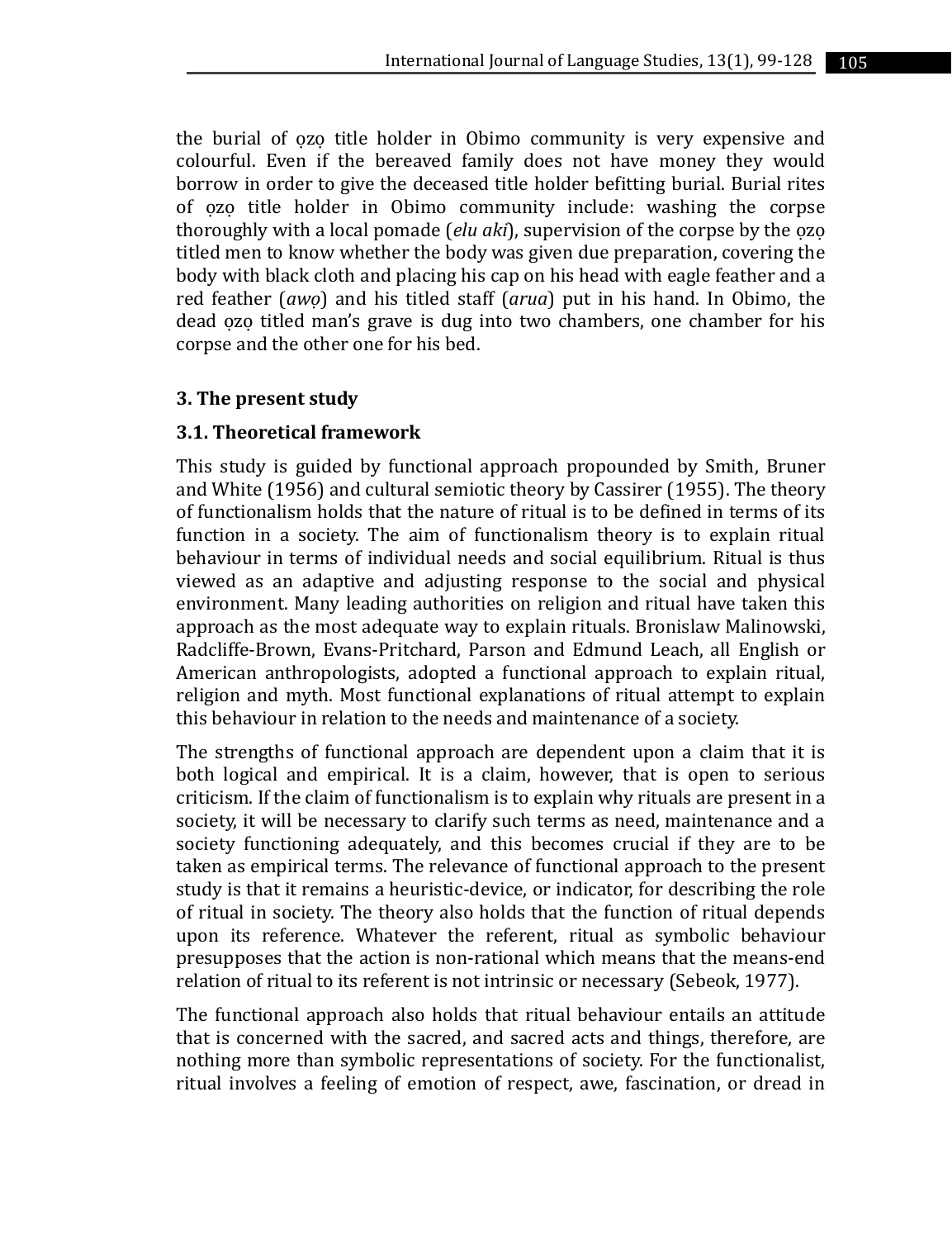the burial of ozo title holder in Obimo community is very expensive and colourful. Even if the bereaved family does not have money they would borrow in order to give the deceased title holder befitting burial. Burial rites of ozo title holder in Obimo community include: washing the corpse thoroughly with a local pomade (*elu aki*), supervision of the corpse by the ozo titled men to know whether the body was given due preparation, covering the body with black cloth and placing his cap on his head with eagle feather and a red feather (*awọ*) and his titled staff (*arua*) put in his hand. In Obimo, the dead ozo titled man's grave is dug into two chambers, one chamber for his corpse and the other one for his bed.

#### **3. The present study**

#### **3.1. Theoretical framework**

This study is guided by functional approach propounded by Smith, Bruner and White (1956) and cultural semiotic theory by Cassirer (1955). The theory of functionalism holds that the nature of ritual is to be defined in terms of its function in a society. The aim of functionalism theory is to explain ritual behaviour in terms of individual needs and social equilibrium. Ritual is thus viewed as an adaptive and adjusting response to the social and physical environment. Many leading authorities on religion and ritual have taken this approach as the most adequate way to explain rituals. Bronislaw Malinowski, Radcliffe-Brown, Evans-Pritchard, Parson and Edmund Leach, all English or American anthropologists, adopted a functional approach to explain ritual, religion and myth. Most functional explanations of ritual attempt to explain this behaviour in relation to the needs and maintenance of a society.

The strengths of functional approach are dependent upon a claim that it is both logical and empirical. It is a claim, however, that is open to serious criticism. If the claim of functionalism is to explain why rituals are present in a society, it will be necessary to clarify such terms as need, maintenance and a society functioning adequately, and this becomes crucial if they are to be taken as empirical terms. The relevance of functional approach to the present study is that it remains a heuristic-device, or indicator, for describing the role of ritual in society. The theory also holds that the function of ritual depends upon its reference. Whatever the referent, ritual as symbolic behaviour presupposes that the action is non-rational which means that the means-end relation of ritual to its referent is not intrinsic or necessary (Sebeok, 1977).

The functional approach also holds that ritual behaviour entails an attitude that is concerned with the sacred, and sacred acts and things, therefore, are nothing more than symbolic representations of society. For the functionalist, ritual involves a feeling of emotion of respect, awe, fascination, or dread in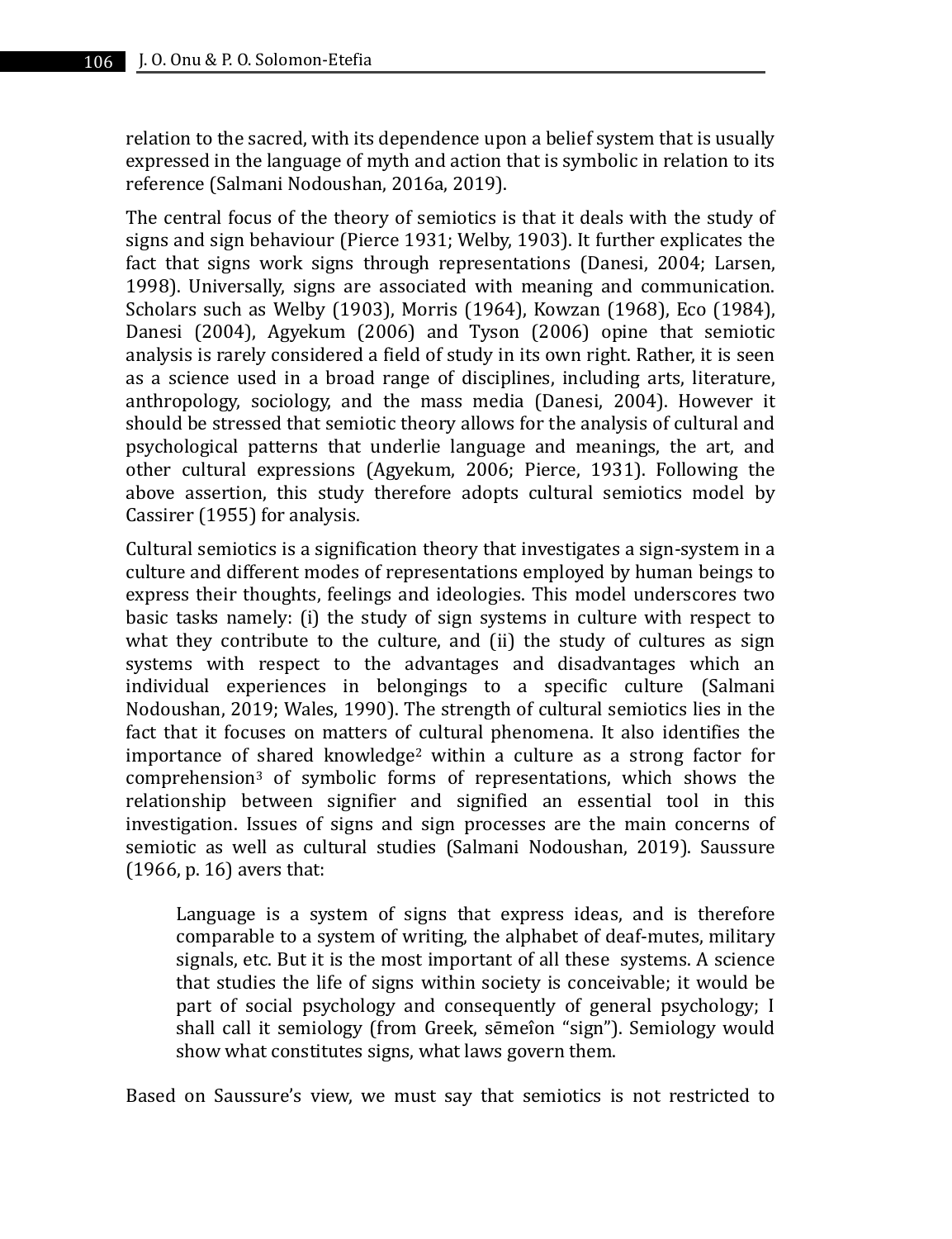relation to the sacred, with its dependence upon a belief system that is usually expressed in the language of myth and action that is symbolic in relation to its reference (Salmani Nodoushan, 2016a, 2019).

The central focus of the theory of semiotics is that it deals with the study of signs and sign behaviour (Pierce 1931; Welby, 1903). It further explicates the fact that signs work signs through representations (Danesi, 2004; Larsen, 1998). Universally, signs are associated with meaning and communication. Scholars such as Welby (1903), Morris (1964), Kowzan (1968), Eco (1984), Danesi (2004), Agyekum (2006) and Tyson (2006) opine that semiotic analysis is rarely considered a field of study in its own right. Rather, it is seen as a science used in a broad range of disciplines, including arts, literature, anthropology, sociology, and the mass media (Danesi, 2004). However it should be stressed that semiotic theory allows for the analysis of cultural and psychological patterns that underlie language and meanings, the art, and other cultural expressions (Agyekum, 2006; Pierce, 1931). Following the above assertion, this study therefore adopts cultural semiotics model by Cassirer (1955) for analysis.

Cultural semiotics is a signification theory that investigates a sign-system in a culture and different modes of representations employed by human beings to express their thoughts, feelings and ideologies. This model underscores two basic tasks namely: (i) the study of sign systems in culture with respect to what they contribute to the culture, and (ii) the study of cultures as sign systems with respect to the advantages and disadvantages which an individual experiences in belongings to a specific culture (Salmani Nodoushan, 2019; Wales, 1990). The strength of cultural semiotics lies in the fact that it focuses on matters of cultural phenomena. It also identifies the importance of shared knowledge<sup>2</sup> within a culture as a strong factor for comprehension<sup>3</sup> of symbolic forms of representations, which shows the relationship between signifier and signified an essential tool in this investigation. Issues of signs and sign processes are the main concerns of semiotic as well as cultural studies (Salmani Nodoushan, 2019). Saussure (1966, p. 16) avers that:

Language is a system of signs that express ideas, and is therefore comparable to a system of writing, the alphabet of deaf-mutes, military signals, etc. But it is the most important of all these systems. A science that studies the life of signs within society is conceivable; it would be part of social psychology and consequently of general psychology; I shall call it semiology (from Greek, sēmeîon "sign"). Semiology would show what constitutes signs, what laws govern them.

Based on Saussure's view, we must say that semiotics is not restricted to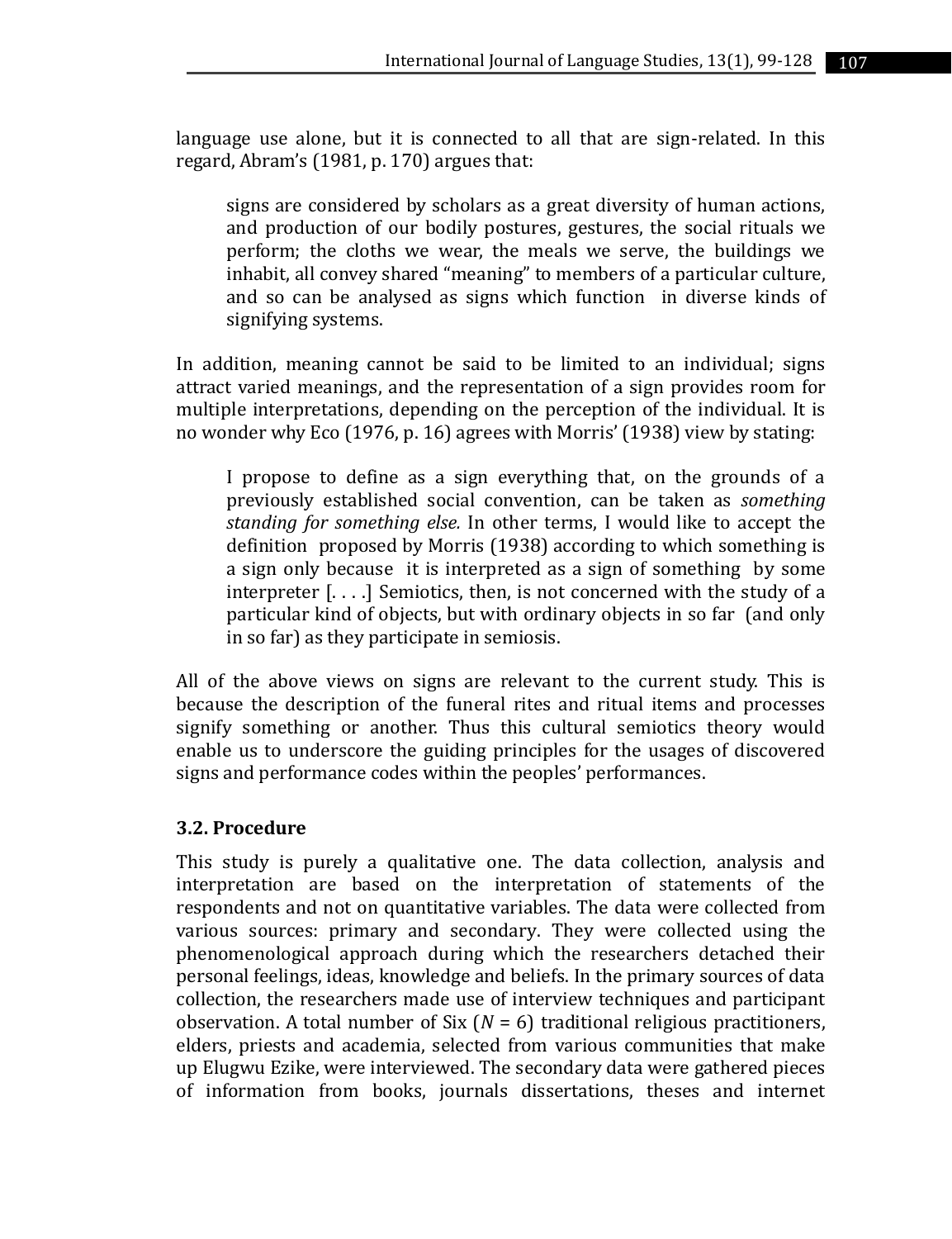language use alone, but it is connected to all that are sign-related. In this regard, Abram's (1981, p. 170) argues that:

signs are considered by scholars as a great diversity of human actions, and production of our bodily postures, gestures, the social rituals we perform; the cloths we wear, the meals we serve, the buildings we inhabit, all convey shared "meaning" to members of a particular culture, and so can be analysed as signs which function in diverse kinds of signifying systems.

In addition, meaning cannot be said to be limited to an individual; signs attract varied meanings, and the representation of a sign provides room for multiple interpretations, depending on the perception of the individual. It is no wonder why Eco (1976, p. 16) agrees with Morris' (1938) view by stating:

I propose to define as a sign everything that, on the grounds of a previously established social convention, can be taken as *something standing for something else.* In other terms, I would like to accept the definition proposed by Morris (1938) according to which something is a sign only because it is interpreted as a sign of something by some interpreter [. . . .] Semiotics, then, is not concerned with the study of a particular kind of objects, but with ordinary objects in so far (and only in so far) as they participate in semiosis.

All of the above views on signs are relevant to the current study. This is because the description of the funeral rites and ritual items and processes signify something or another. Thus this cultural semiotics theory would enable us to underscore the guiding principles for the usages of discovered signs and performance codes within the peoples' performances.

### **3.2. Procedure**

This study is purely a qualitative one. The data collection, analysis and interpretation are based on the interpretation of statements of the respondents and not on quantitative variables. The data were collected from various sources: primary and secondary. They were collected using the phenomenological approach during which the researchers detached their personal feelings, ideas, knowledge and beliefs. In the primary sources of data collection, the researchers made use of interview techniques and participant observation. A total number of Six (*N* = 6) traditional religious practitioners, elders, priests and academia, selected from various communities that make up Elugwu Ezike, were interviewed. The secondary data were gathered pieces of information from books, journals dissertations, theses and internet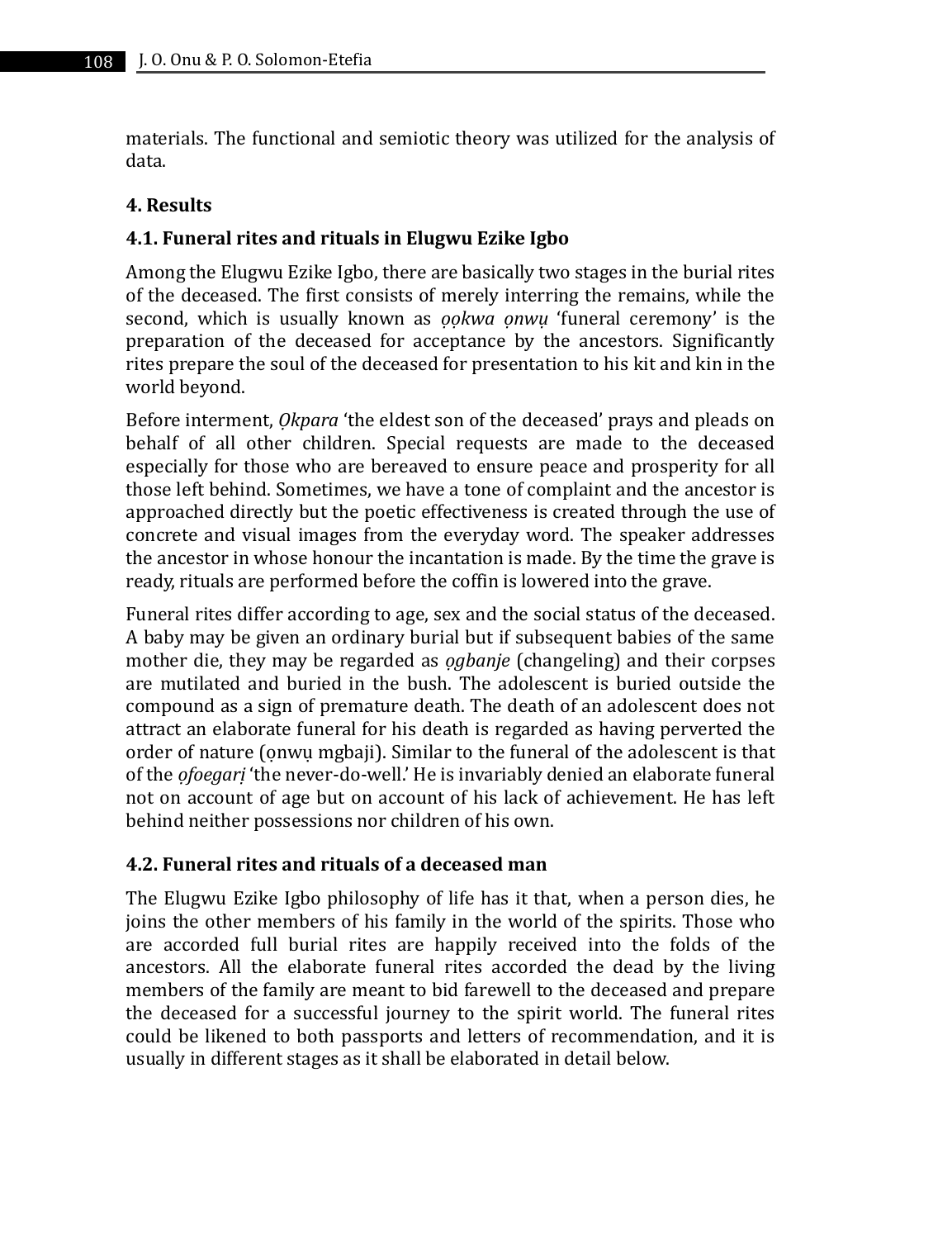materials. The functional and semiotic theory was utilized for the analysis of data.

### **4. Results**

# **4.1. Funeral rites and rituals in Elugwu Ezike Igbo**

Among the Elugwu Ezike Igbo, there are basically two stages in the burial rites of the deceased. The first consists of merely interring the remains, while the second, which is usually known as *ọọkwa ọnwụ* 'funeral ceremony' is the preparation of the deceased for acceptance by the ancestors. Significantly rites prepare the soul of the deceased for presentation to his kit and kin in the world beyond.

Before interment, *Ọkpara* 'the eldest son of the deceased' prays and pleads on behalf of all other children. Special requests are made to the deceased especially for those who are bereaved to ensure peace and prosperity for all those left behind. Sometimes, we have a tone of complaint and the ancestor is approached directly but the poetic effectiveness is created through the use of concrete and visual images from the everyday word. The speaker addresses the ancestor in whose honour the incantation is made. By the time the grave is ready, rituals are performed before the coffin is lowered into the grave.

Funeral rites differ according to age, sex and the social status of the deceased. A baby may be given an ordinary burial but if subsequent babies of the same mother die, they may be regarded as *ọgbanje* (changeling) and their corpses are mutilated and buried in the bush. The adolescent is buried outside the compound as a sign of premature death. The death of an adolescent does not attract an elaborate funeral for his death is regarded as having perverted the order of nature (ọnwụ mgbaji). Similar to the funeral of the adolescent is that of the *ọfoegarị* 'the never-do-well.' He is invariably denied an elaborate funeral not on account of age but on account of his lack of achievement. He has left behind neither possessions nor children of his own.

# **4.2. Funeral rites and rituals of a deceased man**

The Elugwu Ezike Igbo philosophy of life has it that, when a person dies, he joins the other members of his family in the world of the spirits. Those who are accorded full burial rites are happily received into the folds of the ancestors. All the elaborate funeral rites accorded the dead by the living members of the family are meant to bid farewell to the deceased and prepare the deceased for a successful journey to the spirit world. The funeral rites could be likened to both passports and letters of recommendation, and it is usually in different stages as it shall be elaborated in detail below.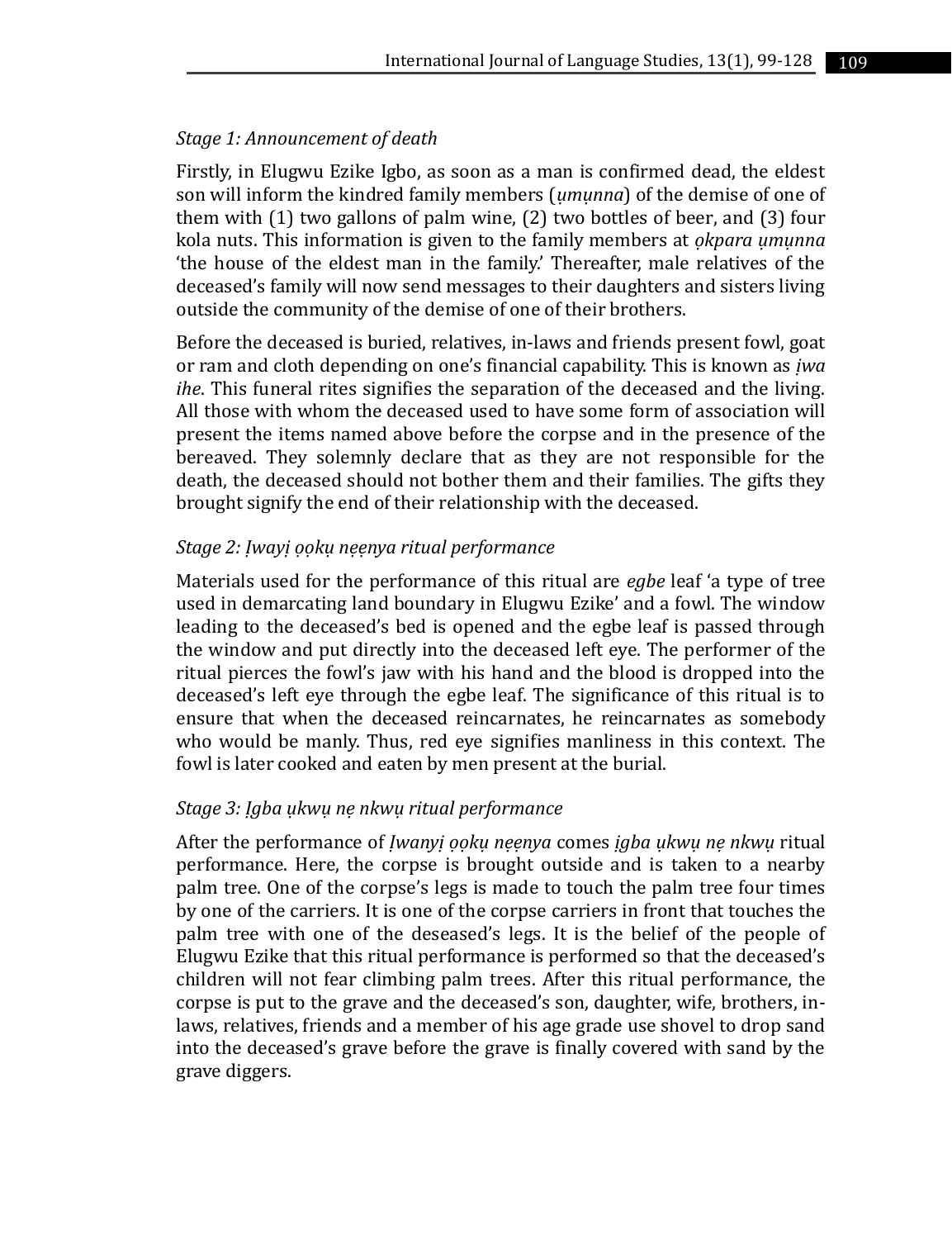#### *Stage 1: Announcement of death*

Firstly, in Elugwu Ezike Igbo, as soon as a man is confirmed dead, the eldest son will inform the kindred family members (*ụmụnna*) of the demise of one of them with (1) two gallons of palm wine, (2) two bottles of beer, and (3) four kola nuts. This information is given to the family members at *ọkpara ụmụnna* 'the house of the eldest man in the family.' Thereafter, male relatives of the deceased's family will now send messages to their daughters and sisters living outside the community of the demise of one of their brothers.

Before the deceased is buried, relatives, in-laws and friends present fowl, goat or ram and cloth depending on one's financial capability. This is known as *ịwa ihe*. This funeral rites signifies the separation of the deceased and the living. All those with whom the deceased used to have some form of association will present the items named above before the corpse and in the presence of the bereaved. They solemnly declare that as they are not responsible for the death, the deceased should not bother them and their families. The gifts they brought signify the end of their relationship with the deceased.

#### *Stage 2: Ịwayị ọọkụ nẹẹnya ritual performance*

Materials used for the performance of this ritual are *egbe* leaf 'a type of tree used in demarcating land boundary in Elugwu Ezike' and a fowl. The window leading to the deceased's bed is opened and the egbe leaf is passed through the window and put directly into the deceased left eye. The performer of the ritual pierces the fowl's jaw with his hand and the blood is dropped into the deceased's left eye through the egbe leaf. The significance of this ritual is to ensure that when the deceased reincarnates, he reincarnates as somebody who would be manly. Thus, red eye signifies manliness in this context. The fowl is later cooked and eaten by men present at the burial.

### *Stage 3: Ịgba ụkwụ nẹ nkwụ ritual performance*

After the performance of *Ịwanyị ọọkụ nẹẹnya* comes *ịgba ụkwụ nẹ nkwụ* ritual performance. Here, the corpse is brought outside and is taken to a nearby palm tree. One of the corpse's legs is made to touch the palm tree four times by one of the carriers. It is one of the corpse carriers in front that touches the palm tree with one of the deseased's legs. It is the belief of the people of Elugwu Ezike that this ritual performance is performed so that the deceased's children will not fear climbing palm trees. After this ritual performance, the corpse is put to the grave and the deceased's son, daughter, wife, brothers, inlaws, relatives, friends and a member of his age grade use shovel to drop sand into the deceased's grave before the grave is finally covered with sand by the grave diggers.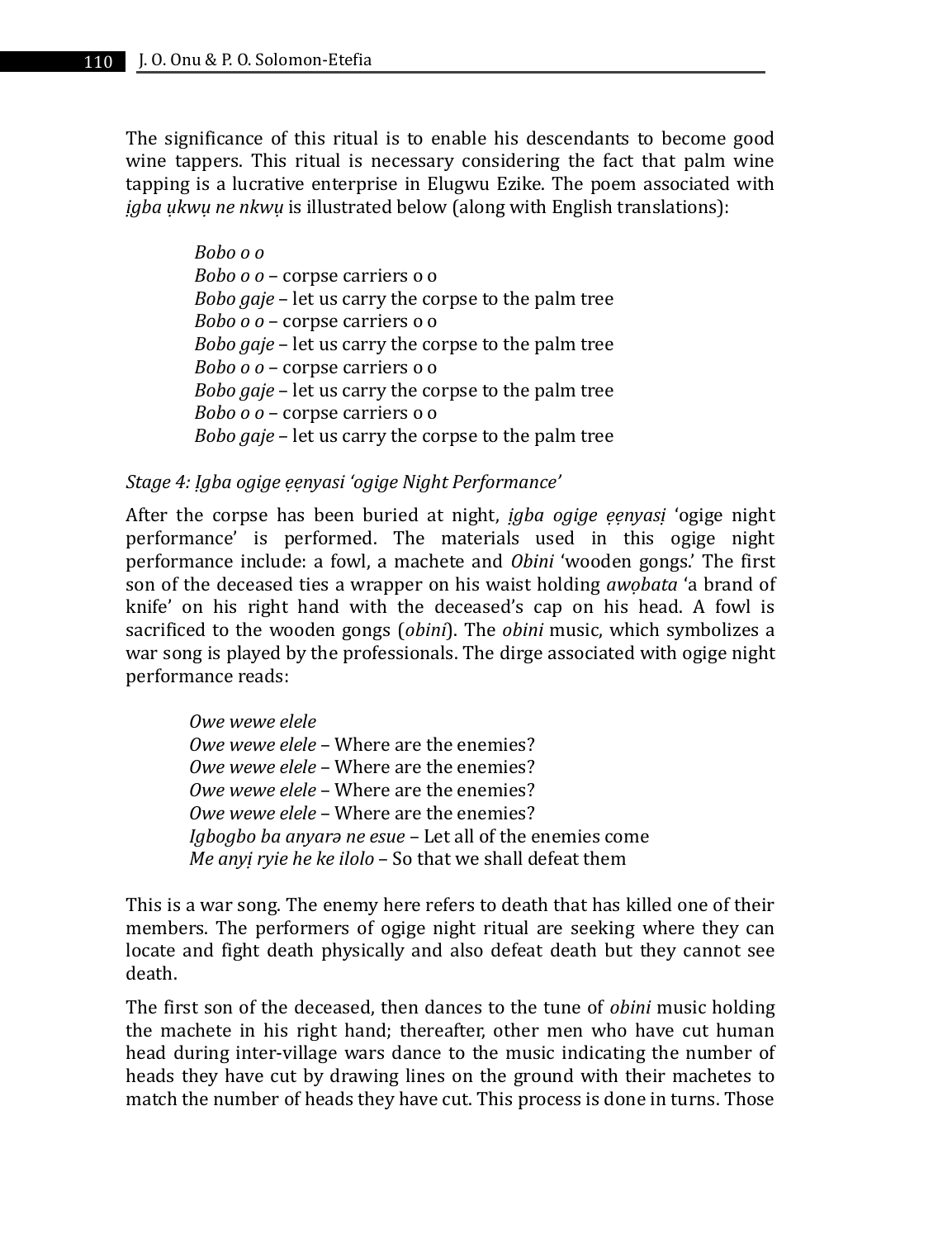The significance of this ritual is to enable his descendants to become good wine tappers. This ritual is necessary considering the fact that palm wine tapping is a lucrative enterprise in Elugwu Ezike. The poem associated with *ịgba ụkwụ ne nkwụ* is illustrated below (along with English translations):

> *Bobo o o Bobo o o* – corpse carriers o o *Bobo gaje* – let us carry the corpse to the palm tree *Bobo o o* – corpse carriers o o *Bobo gaje* – let us carry the corpse to the palm tree *Bobo o o* – corpse carriers o o *Bobo gaje* – let us carry the corpse to the palm tree *Bobo o o* – corpse carriers o o *Bobo gaje* – let us carry the corpse to the palm tree

#### *Stage 4: Ịgba ogige ẹẹnyasi 'ogige Night Performance'*

After the corpse has been buried at night, *ịgba ogige ẹẹnyasị* 'ogige night performance' is performed. The materials used in this ogige night performance include: a fowl, a machete and *Obini* 'wooden gongs.' The first son of the deceased ties a wrapper on his waist holding *awọbata* 'a brand of knife' on his right hand with the deceased's cap on his head. A fowl is sacrificed to the wooden gongs (*obini*). The *obini* music, which symbolizes a war song is played by the professionals. The dirge associated with ogige night performance reads:

*Owe wewe elele Owe wewe elele* – Where are the enemies? *Owe wewe elele* – Where are the enemies? *Owe wewe elele* – Where are the enemies? *Owe wewe elele* – Where are the enemies? *Igbogbo ba anyarə ne esue* – Let all of the enemies come *Me anyị ryie he ke ilolo* – So that we shall defeat them

This is a war song. The enemy here refers to death that has killed one of their members. The performers of ogige night ritual are seeking where they can locate and fight death physically and also defeat death but they cannot see death.

The first son of the deceased, then dances to the tune of *obini* music holding the machete in his right hand; thereafter, other men who have cut human head during inter-village wars dance to the music indicating the number of heads they have cut by drawing lines on the ground with their machetes to match the number of heads they have cut. This process is done in turns. Those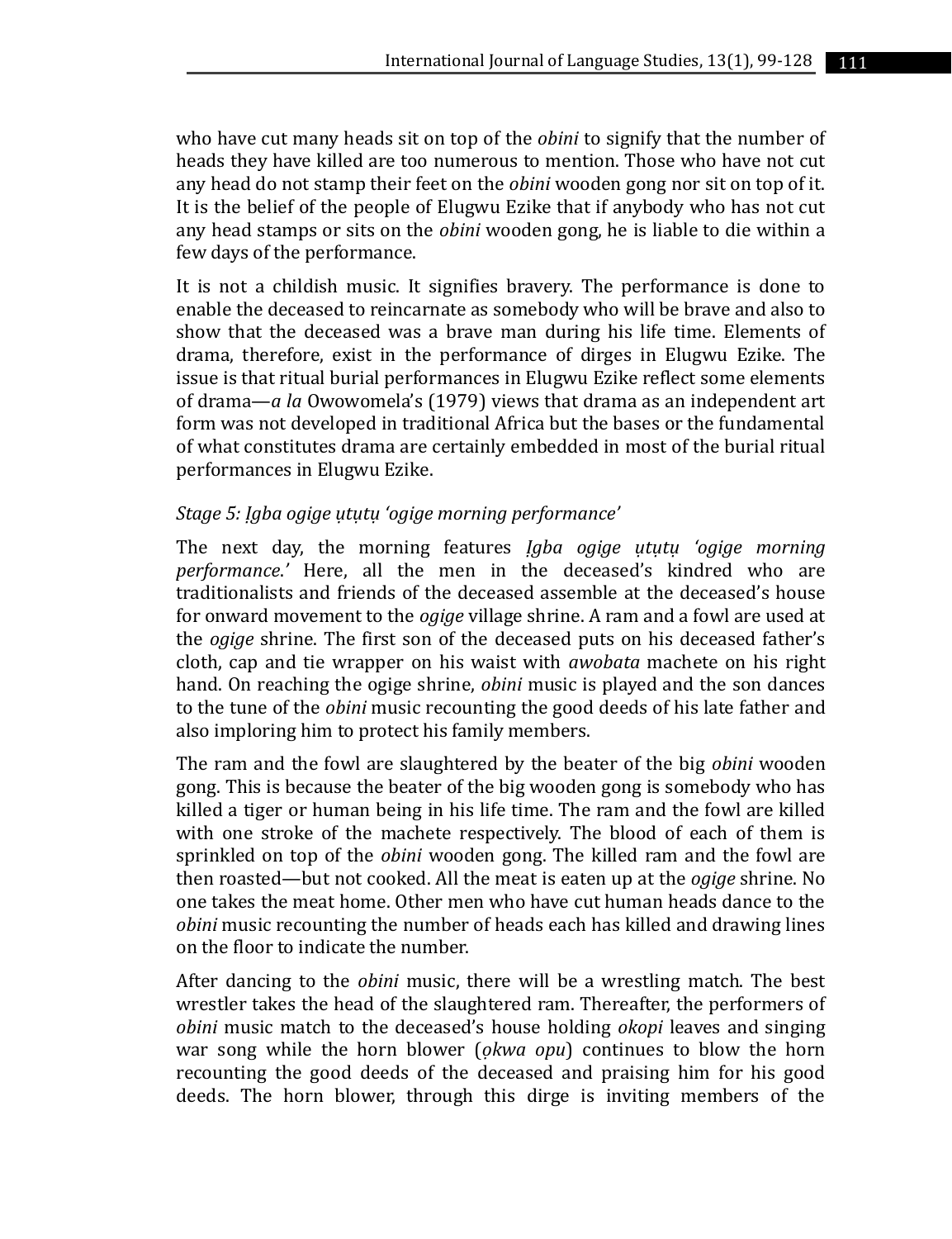who have cut many heads sit on top of the *obini* to signify that the number of heads they have killed are too numerous to mention. Those who have not cut any head do not stamp their feet on the *obini* wooden gong nor sit on top of it. It is the belief of the people of Elugwu Ezike that if anybody who has not cut any head stamps or sits on the *obini* wooden gong, he is liable to die within a few days of the performance.

It is not a childish music. It signifies bravery. The performance is done to enable the deceased to reincarnate as somebody who will be brave and also to show that the deceased was a brave man during his life time. Elements of drama, therefore, exist in the performance of dirges in Elugwu Ezike. The issue is that ritual burial performances in Elugwu Ezike reflect some elements of drama—*a la* Owowomela's (1979) views that drama as an independent art form was not developed in traditional Africa but the bases or the fundamental of what constitutes drama are certainly embedded in most of the burial ritual performances in Elugwu Ezike.

#### *Stage 5: Ịgba ogige ụtụtụ 'ogige morning performance'*

The next day, the morning features *Ịgba ogige ụtụtụ 'ogige morning performance*.*'* Here, all the men in the deceased's kindred who are traditionalists and friends of the deceased assemble at the deceased's house for onward movement to the *ogige* village shrine. A ram and a fowl are used at the *ogige* shrine. The first son of the deceased puts on his deceased father's cloth, cap and tie wrapper on his waist with *awobata* machete on his right hand. On reaching the ogige shrine, *obini* music is played and the son dances to the tune of the *obini* music recounting the good deeds of his late father and also imploring him to protect his family members.

The ram and the fowl are slaughtered by the beater of the big *obini* wooden gong. This is because the beater of the big wooden gong is somebody who has killed a tiger or human being in his life time. The ram and the fowl are killed with one stroke of the machete respectively. The blood of each of them is sprinkled on top of the *obini* wooden gong. The killed ram and the fowl are then roasted—but not cooked. All the meat is eaten up at the *ogige* shrine. No one takes the meat home. Other men who have cut human heads dance to the *obini* music recounting the number of heads each has killed and drawing lines on the floor to indicate the number.

After dancing to the *obini* music, there will be a wrestling match. The best wrestler takes the head of the slaughtered ram. Thereafter, the performers of *obini* music match to the deceased's house holding *okopi* leaves and singing war song while the horn blower (*ọkwa opu*) continues to blow the horn recounting the good deeds of the deceased and praising him for his good deeds. The horn blower, through this dirge is inviting members of the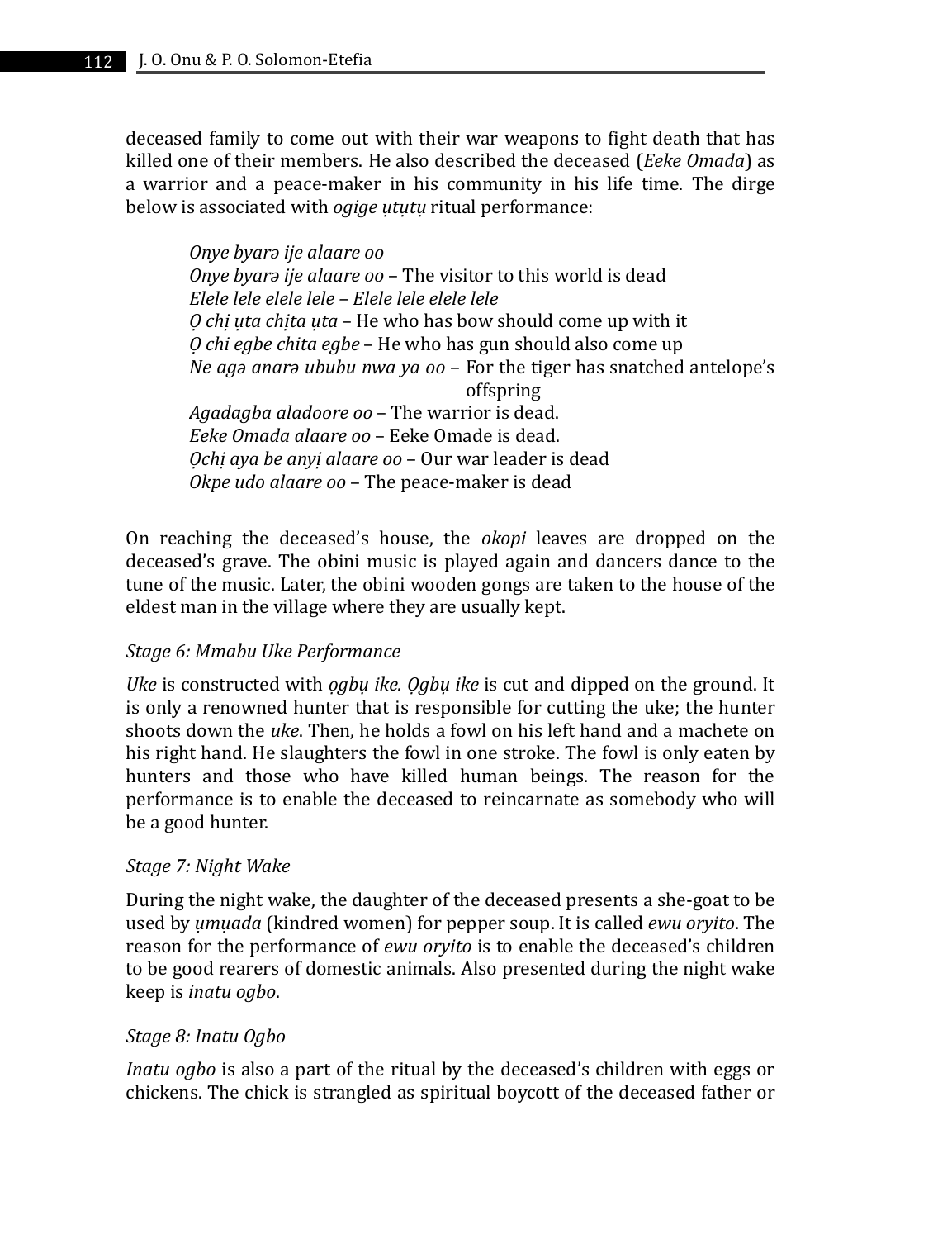deceased family to come out with their war weapons to fight death that has killed one of their members. He also described the deceased (*Eeke Omada*) as a warrior and a peace-maker in his community in his life time. The dirge below is associated with *ogige ụtụtụ* ritual performance:

*Onye byarə ije alaare oo Onye byarə ije alaare oo* – The visitor to this world is dead *Elele lele elele lele – Elele lele elele lele Ọ chị ụta chịta ụta* – He who has bow should come up with it *Ọ chi egbe chita egbe* – He who has gun should also come up *Ne agə anarə ububu nwa ya oo* – For the tiger has snatched antelope's offspring *Agadagba aladoore oo* – The warrior is dead. *Eeke Omada alaare oo* – Eeke Omade is dead. *Ọchị aya be anyị alaare oo* – Our war leader is dead *Okpe udo alaare oo* – The peace-maker is dead

On reaching the deceased's house, the *okopi* leaves are dropped on the deceased's grave. The obini music is played again and dancers dance to the tune of the music. Later, the obini wooden gongs are taken to the house of the eldest man in the village where they are usually kept.

### *Stage 6: Mmabu Uke Performance*

*Uke* is constructed with *ọgbụ ike. Ọgbụ ike* is cut and dipped on the ground. It is only a renowned hunter that is responsible for cutting the uke; the hunter shoots down the *uke*. Then, he holds a fowl on his left hand and a machete on his right hand. He slaughters the fowl in one stroke. The fowl is only eaten by hunters and those who have killed human beings. The reason for the performance is to enable the deceased to reincarnate as somebody who will be a good hunter.

#### *Stage 7: Night Wake*

During the night wake, the daughter of the deceased presents a she-goat to be used by *ụmụada* (kindred women) for pepper soup. It is called *ewu oryito*. The reason for the performance of *ewu oryito* is to enable the deceased's children to be good rearers of domestic animals. Also presented during the night wake keep is *inatu ogbo*.

#### *Stage 8: Inatu Ogbo*

*Inatu ogbo* is also a part of the ritual by the deceased's children with eggs or chickens. The chick is strangled as spiritual boycott of the deceased father or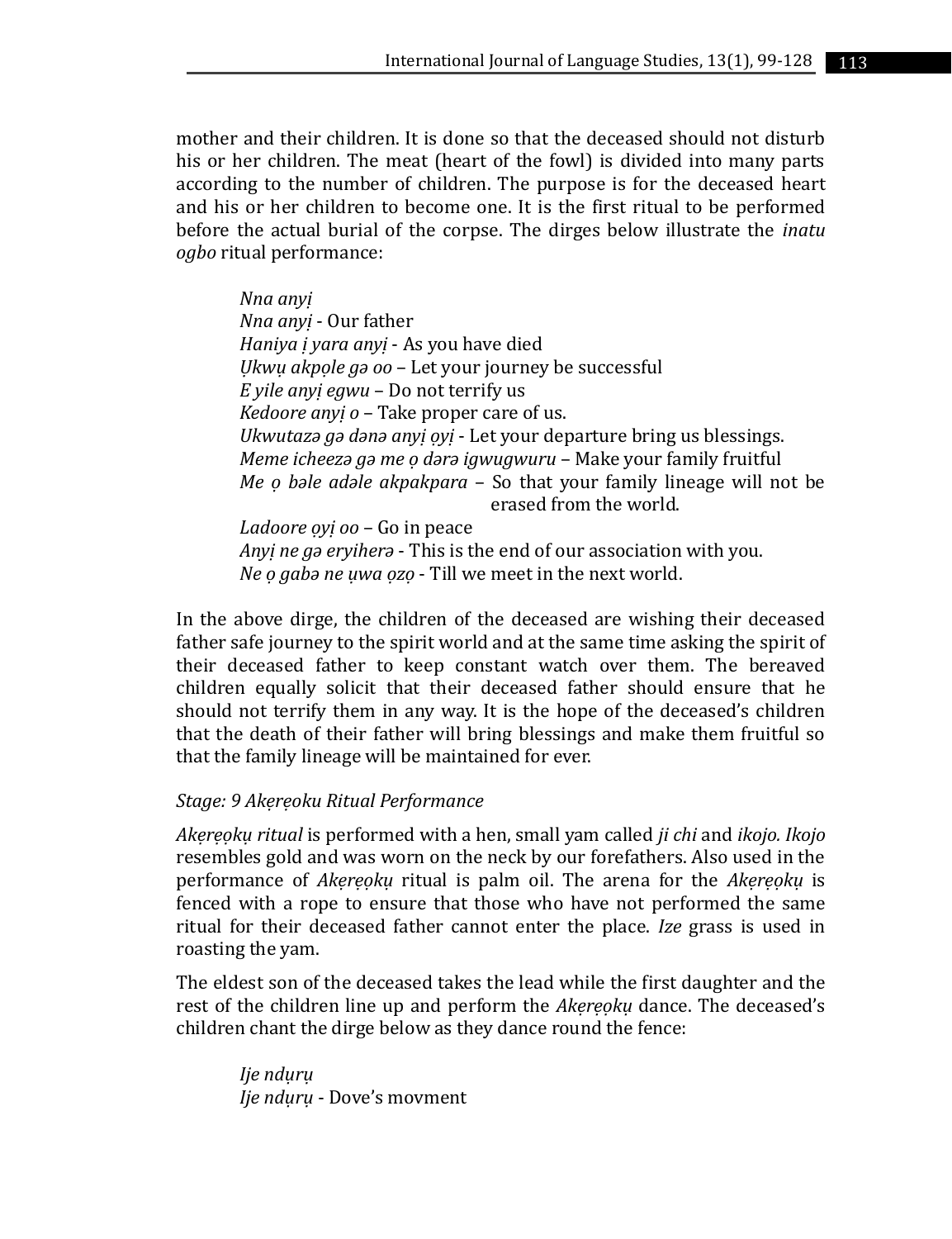mother and their children. It is done so that the deceased should not disturb his or her children. The meat (heart of the fowl) is divided into many parts according to the number of children. The purpose is for the deceased heart and his or her children to become one. It is the first ritual to be performed before the actual burial of the corpse. The dirges below illustrate the *inatu ogbo* ritual performance:

*Nna anyị Nna anyị* - Our father *Haniya ị yara anyị* - As you have died *Ụkwụ akpọle gə oo* – Let your journey be successful *E yile anyị egwu* – Do not terrify us *Kedoore anyị o* – Take proper care of us. *Ukwutazə gə dənə anyị ọyị* - Let your departure bring us blessings. *Meme icheezə gə me ọ dərə igwugwuru* – Make your family fruitful *Me ọ bəle adəle akpakpara* – So that your family lineage will not be erased from the world. *Ladoore ọyị oo* – Go in peace *Anyị ne gə eryiherə* - This is the end of our association with you.

*Ne ọ gabə ne ụwa ọzọ* - Till we meet in the next world.

In the above dirge, the children of the deceased are wishing their deceased father safe journey to the spirit world and at the same time asking the spirit of their deceased father to keep constant watch over them. The bereaved children equally solicit that their deceased father should ensure that he should not terrify them in any way. It is the hope of the deceased's children that the death of their father will bring blessings and make them fruitful so that the family lineage will be maintained for ever.

#### *Stage: 9 Akẹrẹoku Ritual Performance*

*Akẹrẹọkụ ritual* is performed with a hen, small yam called *ji chi* and *ikojo. Ikojo*  resembles gold and was worn on the neck by our forefathers. Also used in the performance of *Akẹrẹọkụ* ritual is palm oil. The arena for the *Akẹrẹọkụ* is fenced with a rope to ensure that those who have not performed the same ritual for their deceased father cannot enter the place. *Ize* grass is used in roasting the yam.

The eldest son of the deceased takes the lead while the first daughter and the rest of the children line up and perform the *Akẹrẹọkụ* dance. The deceased's children chant the dirge below as they dance round the fence:

*Ije ndụrụ Ije ndụrụ* - Dove's movment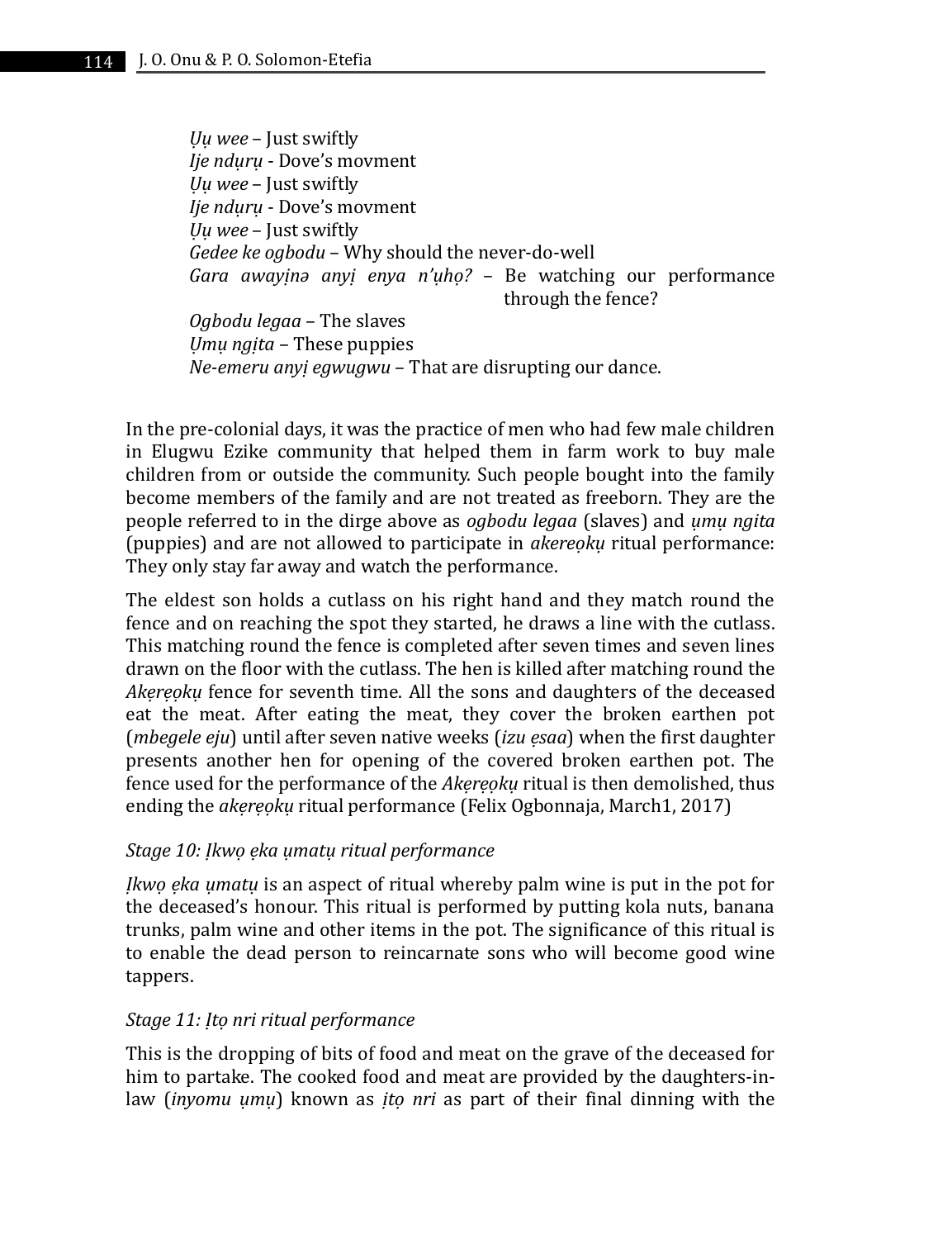*Ụụ wee* – Just swiftly *Ije ndụrụ* - Dove's movment *Ụụ wee* – Just swiftly *Ije ndụrụ* - Dove's movment *Ụụ wee* – Just swiftly *Gedee ke ogbodu* – Why should the never-do-well *Gara awayịnə anyị enya n'ụhọ?* – Be watching our performance through the fence? *Ogbodu legaa* – The slaves *Ụmụ ngịta* – These puppies *Ne-emeru anyị egwugwu* – That are disrupting our dance.

In the pre-colonial days, it was the practice of men who had few male children in Elugwu Ezike community that helped them in farm work to buy male children from or outside the community. Such people bought into the family become members of the family and are not treated as freeborn. They are the people referred to in the dirge above as *ogbodu legaa* (slaves) and *ụmụ ngita*  (puppies) and are not allowed to participate in *akereọkụ* ritual performance: They only stay far away and watch the performance.

The eldest son holds a cutlass on his right hand and they match round the fence and on reaching the spot they started, he draws a line with the cutlass. This matching round the fence is completed after seven times and seven lines drawn on the floor with the cutlass. The hen is killed after matching round the *Akẹrẹọkụ* fence for seventh time. All the sons and daughters of the deceased eat the meat. After eating the meat, they cover the broken earthen pot (*mbegele eju*) until after seven native weeks (*izu ẹsaa*) when the first daughter presents another hen for opening of the covered broken earthen pot. The fence used for the performance of the *Akẹrẹọkụ* ritual is then demolished, thus ending the *akẹrẹọkụ* ritual performance (Felix Ogbonnaja, March1, 2017)

### *Stage 10: Ịkwọ ẹka ụmatụ ritual performance*

*Ịkwọ ẹka ụmatụ* is an aspect of ritual whereby palm wine is put in the pot for the deceased's honour. This ritual is performed by putting kola nuts, banana trunks, palm wine and other items in the pot. The significance of this ritual is to enable the dead person to reincarnate sons who will become good wine tappers.

#### *Stage 11: Ịtọ nri ritual performance*

This is the dropping of bits of food and meat on the grave of the deceased for him to partake. The cooked food and meat are provided by the daughters-inlaw (*inyomu ụmụ*) known as *ịtọ nri* as part of their final dinning with the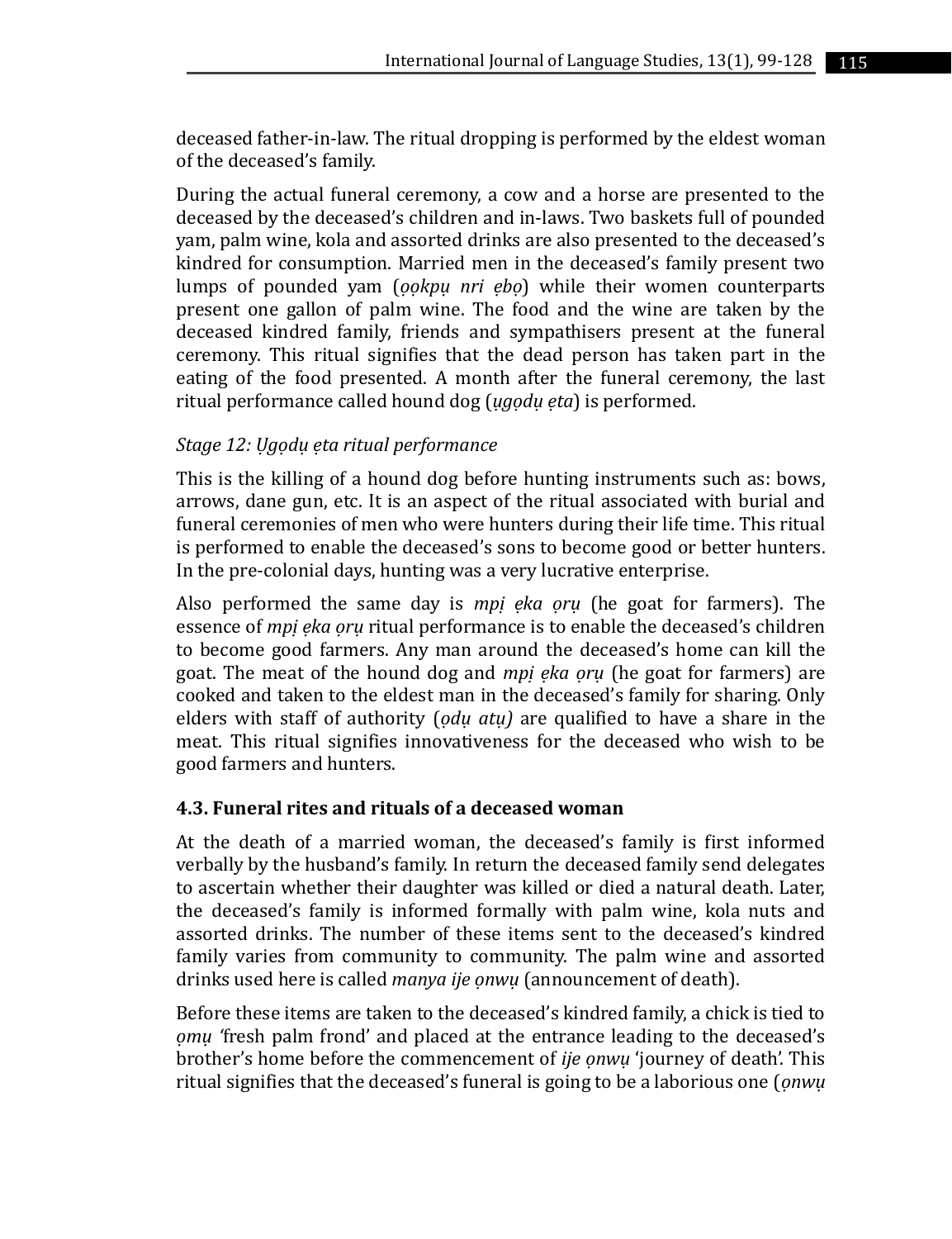deceased father-in-law. The ritual dropping is performed by the eldest woman of the deceased's family.

During the actual funeral ceremony, a cow and a horse are presented to the deceased by the deceased's children and in-laws. Two baskets full of pounded yam, palm wine, kola and assorted drinks are also presented to the deceased's kindred for consumption. Married men in the deceased's family present two lumps of pounded yam (*ọọkpụ nri ẹbọ*) while their women counterparts present one gallon of palm wine. The food and the wine are taken by the deceased kindred family, friends and sympathisers present at the funeral ceremony. This ritual signifies that the dead person has taken part in the eating of the food presented. A month after the funeral ceremony, the last ritual performance called hound dog (*ụgọdụ ẹta*) is performed.

## *Stage 12: Ụgọdụ ẹta ritual performance*

This is the killing of a hound dog before hunting instruments such as: bows, arrows, dane gun, etc. It is an aspect of the ritual associated with burial and funeral ceremonies of men who were hunters during their life time. This ritual is performed to enable the deceased's sons to become good or better hunters. In the pre-colonial days, hunting was a very lucrative enterprise.

Also performed the same day is *mpị ẹka ọrụ* (he goat for farmers). The essence of *mpị ẹka ọrụ* ritual performance is to enable the deceased's children to become good farmers. Any man around the deceased's home can kill the goat. The meat of the hound dog and *mpị ẹka ọrụ* (he goat for farmers) are cooked and taken to the eldest man in the deceased's family for sharing. Only elders with staff of authority (*ọdụ atụ)* are qualified to have a share in the meat. This ritual signifies innovativeness for the deceased who wish to be good farmers and hunters.

### **4.3. Funeral rites and rituals of a deceased woman**

At the death of a married woman, the deceased's family is first informed verbally by the husband's family. In return the deceased family send delegates to ascertain whether their daughter was killed or died a natural death. Later, the deceased's family is informed formally with palm wine, kola nuts and assorted drinks. The number of these items sent to the deceased's kindred family varies from community to community. The palm wine and assorted drinks used here is called *manya ije ọnwụ* (announcement of death).

Before these items are taken to the deceased's kindred family, a chick is tied to *ọmụ '*fresh palm frond' and placed at the entrance leading to the deceased's brother's home before the commencement of *ije ọnwụ* 'journey of death'. This ritual signifies that the deceased's funeral is going to be a laborious one (*ọnwụ*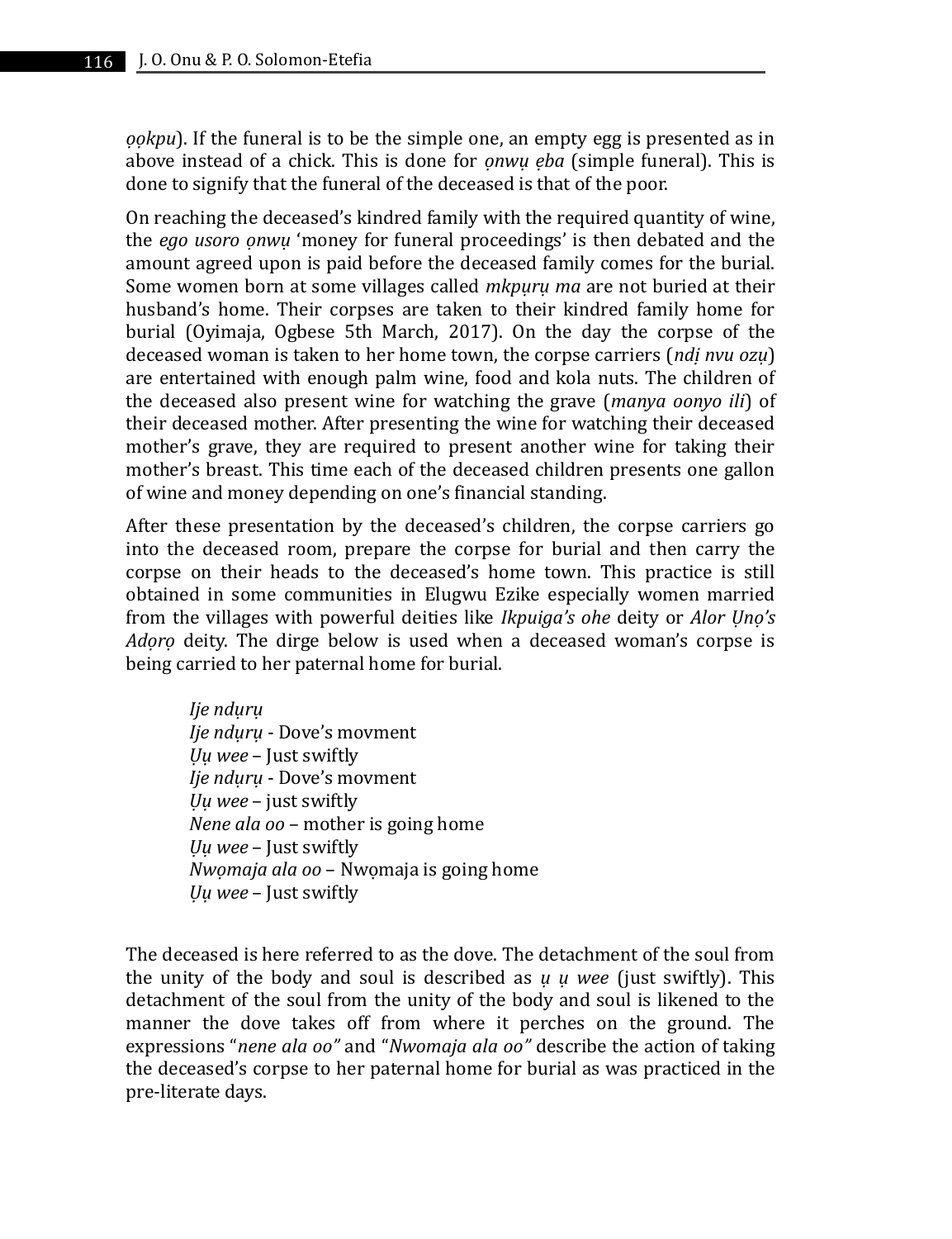*ọọkpu*). If the funeral is to be the simple one, an empty egg is presented as in above instead of a chick. This is done for *ọnwụ ẹba* (simple funeral). This is done to signify that the funeral of the deceased is that of the poor.

On reaching the deceased's kindred family with the required quantity of wine, the *ego usoro ọnwụ* 'money for funeral proceedings' is then debated and the amount agreed upon is paid before the deceased family comes for the burial. Some women born at some villages called *mkpụrụ ma* are not buried at their husband's home. Their corpses are taken to their kindred family home for burial (Oyimaja, Ogbese 5th March, 2017). On the day the corpse of the deceased woman is taken to her home town, the corpse carriers (*ndị nvu ozụ*) are entertained with enough palm wine, food and kola nuts. The children of the deceased also present wine for watching the grave (*manya oonyo ili*) of their deceased mother. After presenting the wine for watching their deceased mother's grave, they are required to present another wine for taking their mother's breast. This time each of the deceased children presents one gallon of wine and money depending on one's financial standing.

After these presentation by the deceased's children, the corpse carriers go into the deceased room, prepare the corpse for burial and then carry the corpse on their heads to the deceased's home town. This practice is still obtained in some communities in Elugwu Ezike especially women married from the villages with powerful deities like *Ikpuiga's ohe* deity or *Alor Ụnọ's Adọrọ* deity. The dirge below is used when a deceased woman's corpse is being carried to her paternal home for burial.

*Ije ndụrụ Ije ndụrụ* - Dove's movment *Ụụ wee* – Just swiftly *Ije ndụrụ* - Dove's movment *Ụụ wee* – just swiftly *Nene ala oo* – mother is going home *Ụụ wee* – Just swiftly *Nwọmaja ala oo* – Nwọmaja is going home *Ụụ wee* – Just swiftly

The deceased is here referred to as the dove. The detachment of the soul from the unity of the body and soul is described as *ụ ụ wee* (just swiftly). This detachment of the soul from the unity of the body and soul is likened to the manner the dove takes off from where it perches on the ground. The expressions "*nene ala oo"* and "*Nwomaja ala oo"* describe the action of taking the deceased's corpse to her paternal home for burial as was practiced in the pre-literate days.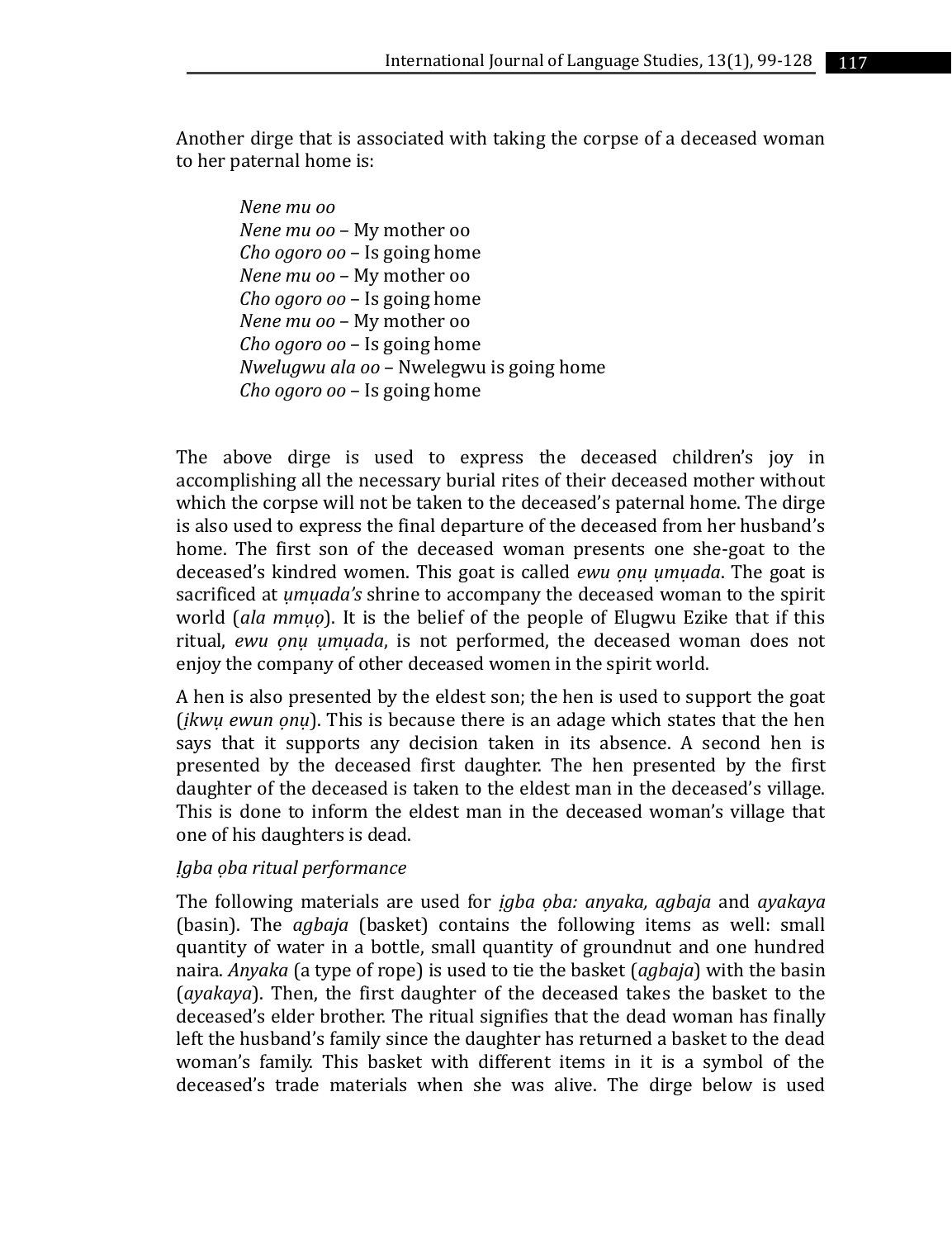Another dirge that is associated with taking the corpse of a deceased woman to her paternal home is:

*Nene mu oo Nene mu oo* – My mother oo *Cho ogoro oo* – Is going home *Nene mu oo* – My mother oo *Cho ogoro oo* – Is going home *Nene mu oo* – My mother oo *Cho ogoro oo* – Is going home *Nwelugwu ala oo* – Nwelegwu is going home *Cho ogoro oo* – Is going home

The above dirge is used to express the deceased children's joy in accomplishing all the necessary burial rites of their deceased mother without which the corpse will not be taken to the deceased's paternal home. The dirge is also used to express the final departure of the deceased from her husband's home. The first son of the deceased woman presents one she-goat to the deceased's kindred women. This goat is called *ewu ọnụ ụmụada*. The goat is sacrificed at *ụmụada's* shrine to accompany the deceased woman to the spirit world (*ala mmụọ*). It is the belief of the people of Elugwu Ezike that if this ritual, *ewu ọnụ ụmụada*, is not performed, the deceased woman does not enjoy the company of other deceased women in the spirit world.

A hen is also presented by the eldest son; the hen is used to support the goat (*ịkwụ ewun ọnụ*). This is because there is an adage which states that the hen says that it supports any decision taken in its absence. A second hen is presented by the deceased first daughter. The hen presented by the first daughter of the deceased is taken to the eldest man in the deceased's village. This is done to inform the eldest man in the deceased woman's village that one of his daughters is dead.

#### *Ịgba ọba ritual performance*

The following materials are used for *ịgba ọba: anyaka, agbaja* and *ayakaya*  (basin). The *agbaja* (basket) contains the following items as well: small quantity of water in a bottle, small quantity of groundnut and one hundred naira. *Anyaka* (a type of rope) is used to tie the basket (*agbaja*) with the basin (*ayakaya*). Then, the first daughter of the deceased takes the basket to the deceased's elder brother. The ritual signifies that the dead woman has finally left the husband's family since the daughter has returned a basket to the dead woman's family. This basket with different items in it is a symbol of the deceased's trade materials when she was alive. The dirge below is used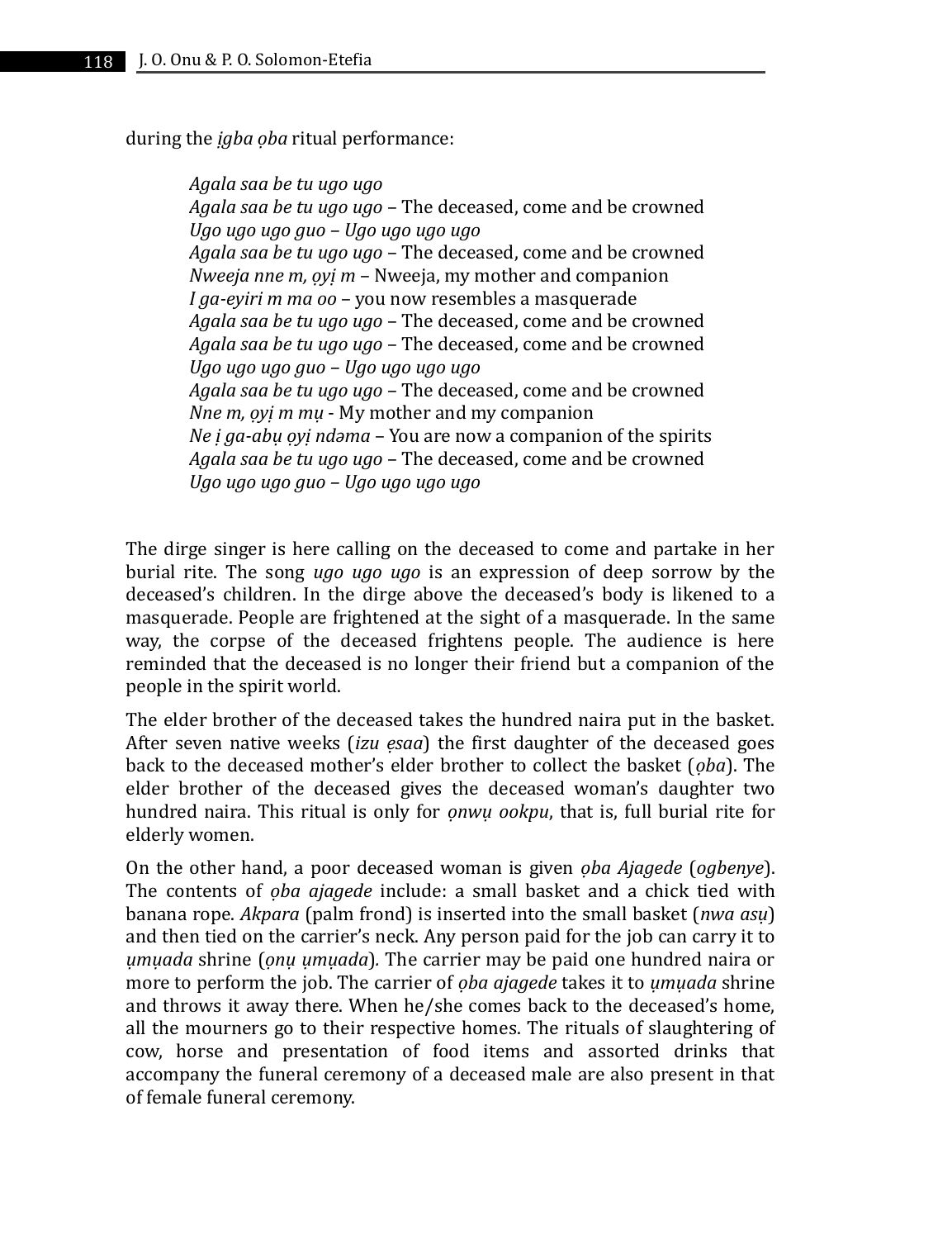during the *ịgba ọba* ritual performance:

*Agala saa be tu ugo ugo Agala saa be tu ugo ugo* – The deceased, come and be crowned *Ugo ugo ugo guo – Ugo ugo ugo ugo Agala saa be tu ugo ugo* – The deceased, come and be crowned *Nweeja nne m, ọyị m* – Nweeja, my mother and companion *I ga-eyiri m ma oo* – you now resembles a masquerade *Agala saa be tu ugo ugo* – The deceased, come and be crowned *Agala saa be tu ugo ugo* – The deceased, come and be crowned *Ugo ugo ugo guo – Ugo ugo ugo ugo Agala saa be tu ugo ugo* – The deceased, come and be crowned *Nne m, ọyị m mụ* - My mother and my companion *Ne ị ga-abụ ọyị ndəma* – You are now a companion of the spirits *Agala saa be tu ugo ugo* – The deceased, come and be crowned *Ugo ugo ugo guo – Ugo ugo ugo ugo*

The dirge singer is here calling on the deceased to come and partake in her burial rite. The song *ugo ugo ugo* is an expression of deep sorrow by the deceased's children. In the dirge above the deceased's body is likened to a masquerade. People are frightened at the sight of a masquerade. In the same way, the corpse of the deceased frightens people. The audience is here reminded that the deceased is no longer their friend but a companion of the people in the spirit world.

The elder brother of the deceased takes the hundred naira put in the basket. After seven native weeks (*izu ẹsaa*) the first daughter of the deceased goes back to the deceased mother's elder brother to collect the basket (*ọba*). The elder brother of the deceased gives the deceased woman's daughter two hundred naira. This ritual is only for *ọnwụ ookpu*, that is, full burial rite for elderly women.

On the other hand, a poor deceased woman is given *ọba Ajagede* (*ogbenye*). The contents of *ọba ajagede* include: a small basket and a chick tied with banana rope. *Akpara* (palm frond) is inserted into the small basket (*nwa asụ*) and then tied on the carrier's neck. Any person paid for the job can carry it to *ụmụada* shrine (*ọnụ ụmụada*)*.* The carrier may be paid one hundred naira or more to perform the job. The carrier of *ọba ajagede* takes it to *ụmụada* shrine and throws it away there. When he/she comes back to the deceased's home, all the mourners go to their respective homes. The rituals of slaughtering of cow, horse and presentation of food items and assorted drinks that accompany the funeral ceremony of a deceased male are also present in that of female funeral ceremony.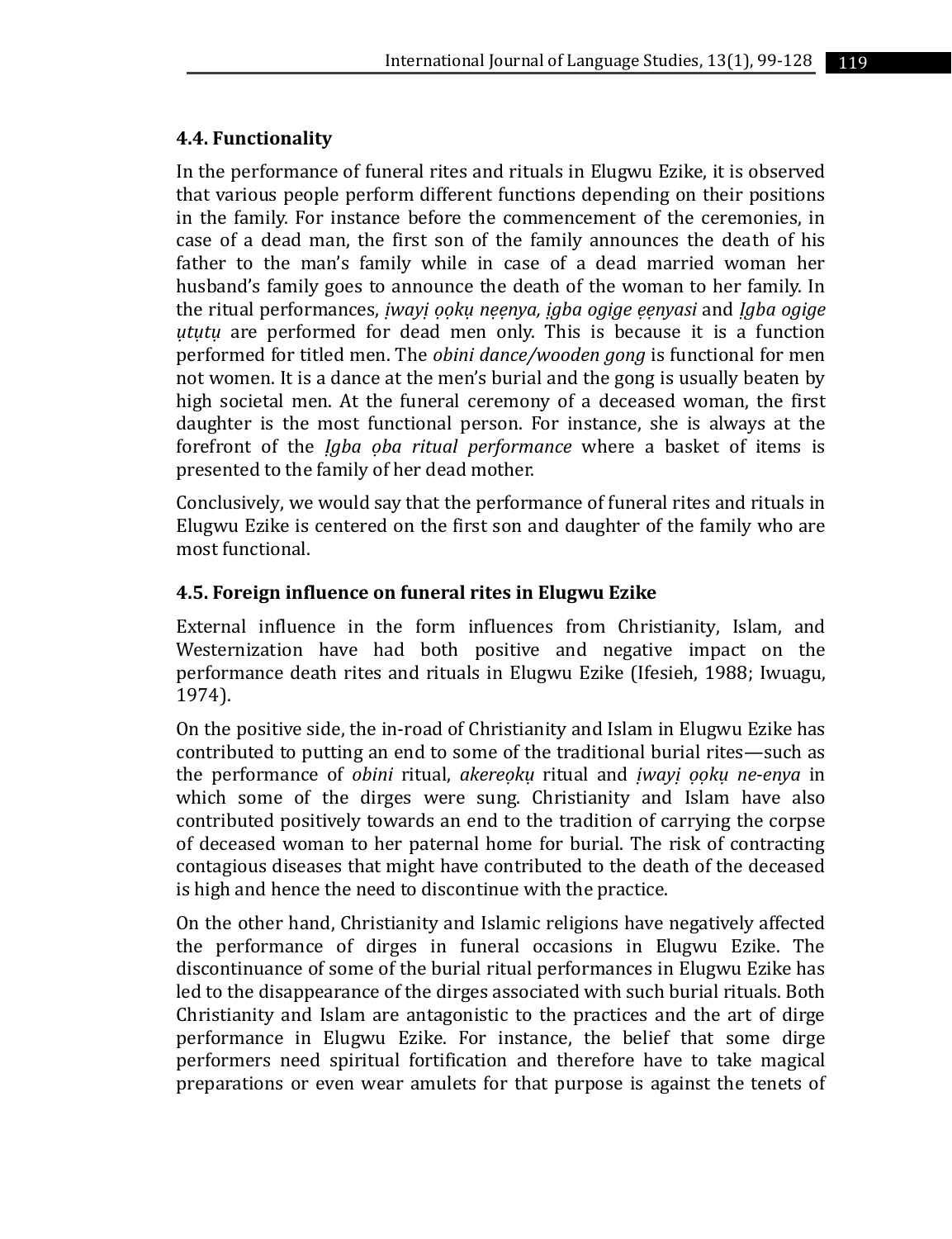## **4.4. Functionality**

In the performance of funeral rites and rituals in Elugwu Ezike, it is observed that various people perform different functions depending on their positions in the family. For instance before the commencement of the ceremonies, in case of a dead man, the first son of the family announces the death of his father to the man's family while in case of a dead married woman her husband's family goes to announce the death of the woman to her family. In the ritual performances, *ịwayị ọọkụ nẹẹnya, ịgba ogige ẹẹnyasi* and *Ịgba ogige ụtụtụ* are performed for dead men only. This is because it is a function performed for titled men. The *obini dance/wooden gong* is functional for men not women. It is a dance at the men's burial and the gong is usually beaten by high societal men. At the funeral ceremony of a deceased woman, the first daughter is the most functional person. For instance, she is always at the forefront of the *Ịgba ọba ritual performance* where a basket of items is presented to the family of her dead mother.

Conclusively, we would say that the performance of funeral rites and rituals in Elugwu Ezike is centered on the first son and daughter of the family who are most functional.

## **4.5. Foreign influence on funeral rites in Elugwu Ezike**

External influence in the form influences from Christianity, Islam, and Westernization have had both positive and negative impact on the performance death rites and rituals in Elugwu Ezike (Ifesieh, 1988; Iwuagu, 1974).

On the positive side, the in-road of Christianity and Islam in Elugwu Ezike has contributed to putting an end to some of the traditional burial rites—such as the performance of *obini* ritual, *akereọkụ* ritual and *ịwayị ọọkụ ne*-*enya* in which some of the dirges were sung. Christianity and Islam have also contributed positively towards an end to the tradition of carrying the corpse of deceased woman to her paternal home for burial. The risk of contracting contagious diseases that might have contributed to the death of the deceased is high and hence the need to discontinue with the practice.

On the other hand, Christianity and Islamic religions have negatively affected the performance of dirges in funeral occasions in Elugwu Ezike. The discontinuance of some of the burial ritual performances in Elugwu Ezike has led to the disappearance of the dirges associated with such burial rituals. Both Christianity and Islam are antagonistic to the practices and the art of dirge performance in Elugwu Ezike. For instance, the belief that some dirge performers need spiritual fortification and therefore have to take magical preparations or even wear amulets for that purpose is against the tenets of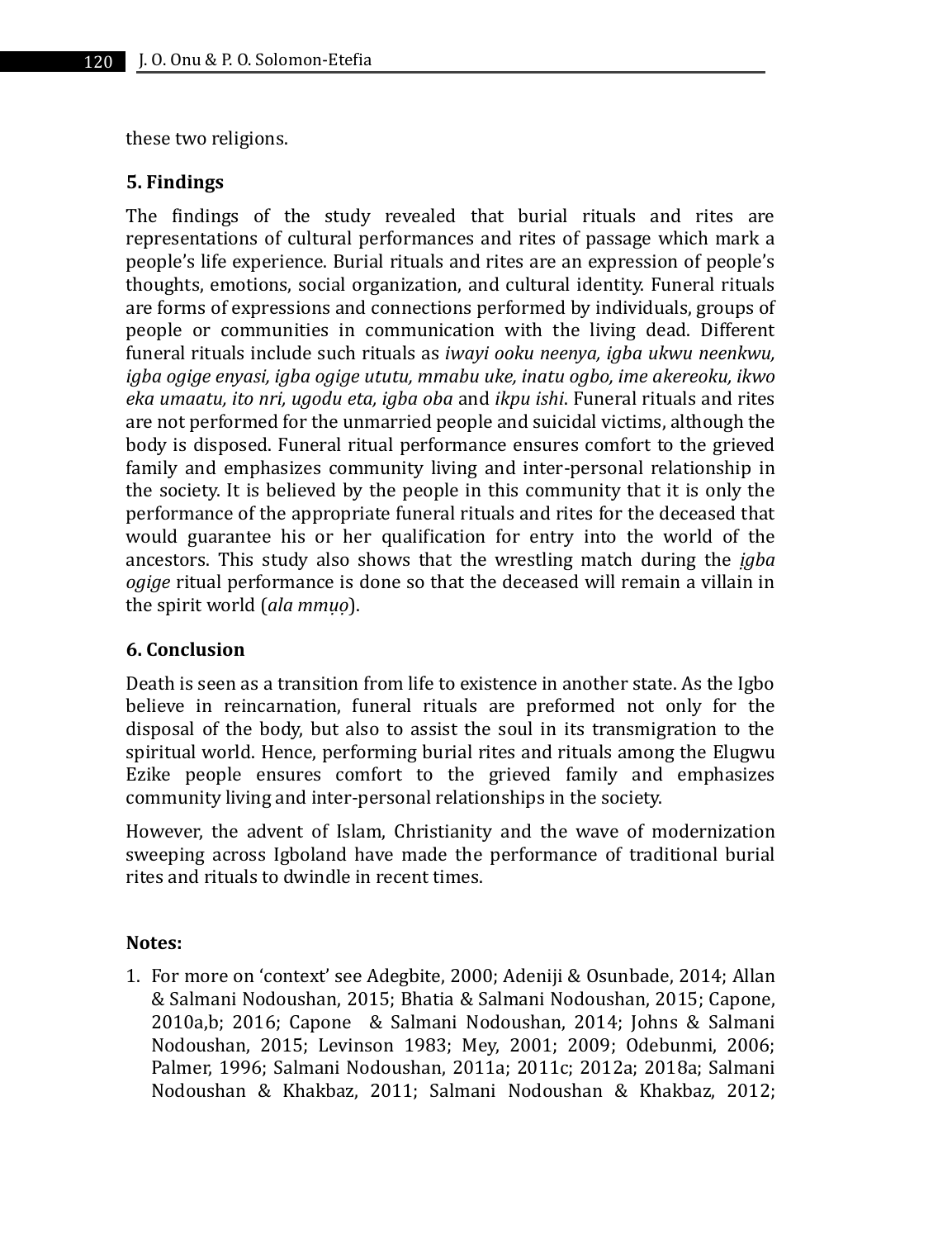these two religions.

#### **5. Findings**

The findings of the study revealed that burial rituals and rites are representations of cultural performances and rites of passage which mark a people's life experience. Burial rituals and rites are an expression of people's thoughts, emotions, social organization, and cultural identity. Funeral rituals are forms of expressions and connections performed by individuals, groups of people or communities in communication with the living dead. Different funeral rituals include such rituals as *iwayi ooku neenya, igba ukwu neenkwu, igba ogige enyasi, igba ogige ututu, mmabu uke, inatu ogbo, ime akereoku, ikwo eka umaatu, ito nri, ugodu eta, igba oba* and *ikpu ishi*. Funeral rituals and rites are not performed for the unmarried people and suicidal victims, although the body is disposed. Funeral ritual performance ensures comfort to the grieved family and emphasizes community living and inter-personal relationship in the society. It is believed by the people in this community that it is only the performance of the appropriate funeral rituals and rites for the deceased that would guarantee his or her qualification for entry into the world of the ancestors. This study also shows that the wrestling match during the *ịgba ogige* ritual performance is done so that the deceased will remain a villain in the spirit world (*ala mmụọ*).

#### **6. Conclusion**

Death is seen as a transition from life to existence in another state. As the Igbo believe in reincarnation, funeral rituals are preformed not only for the disposal of the body, but also to assist the soul in its transmigration to the spiritual world. Hence, performing burial rites and rituals among the Elugwu Ezike people ensures comfort to the grieved family and emphasizes community living and inter-personal relationships in the society.

However, the advent of Islam, Christianity and the wave of modernization sweeping across Igboland have made the performance of traditional burial rites and rituals to dwindle in recent times.

#### **Notes:**

1. For more on 'context' see Adegbite, 2000; Adeniji & Osunbade, 2014; Allan & Salmani Nodoushan, 2015; Bhatia & Salmani Nodoushan, 2015; Capone, 2010a,b; 2016; Capone & Salmani Nodoushan, 2014; Johns & Salmani Nodoushan, 2015; Levinson 1983; Mey, 2001; 2009; Odebunmi, 2006; Palmer, 1996; Salmani Nodoushan, 2011a; 2011c; 2012a; 2018a; Salmani Nodoushan & Khakbaz, 2011; Salmani Nodoushan & Khakbaz, 2012;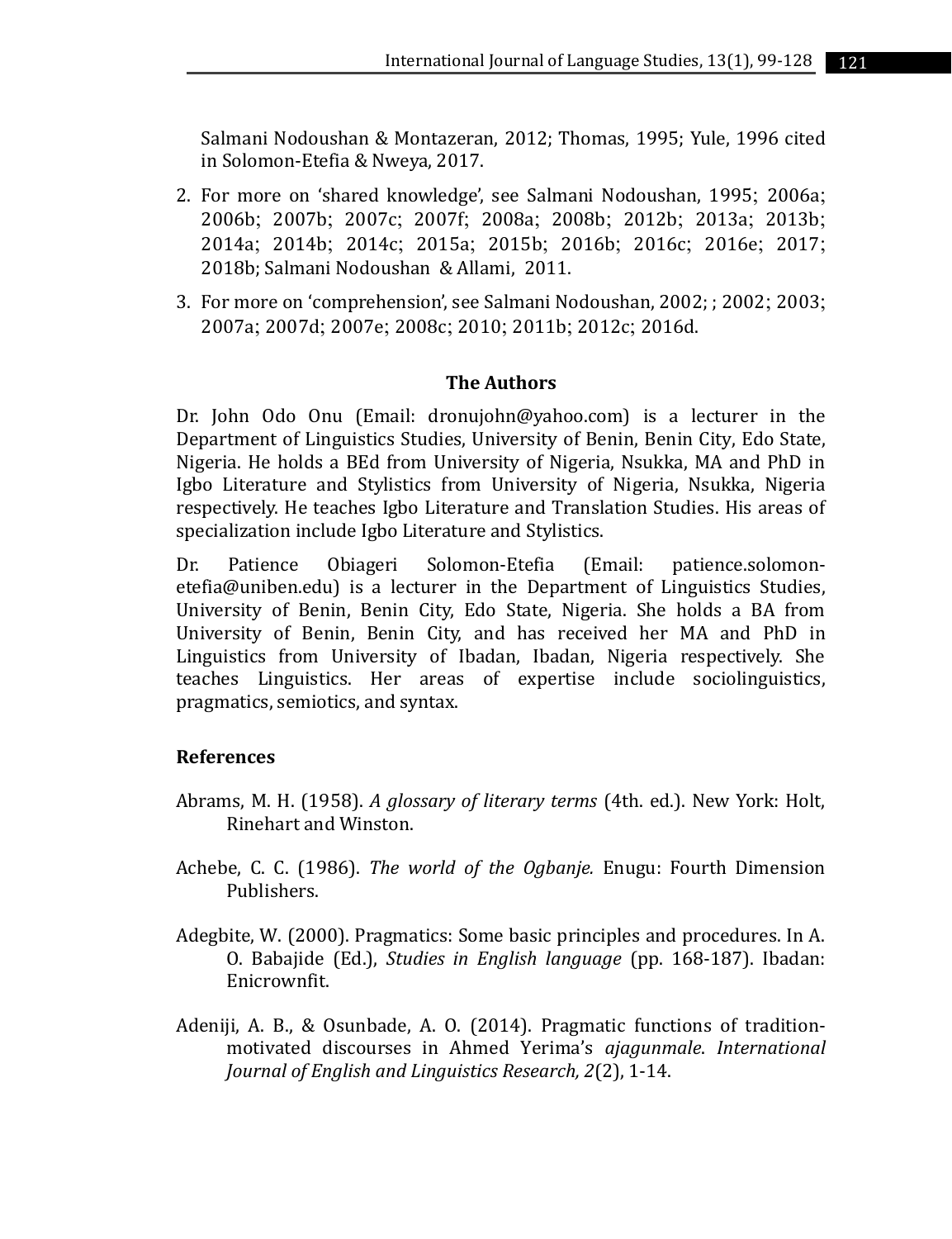Salmani Nodoushan & Montazeran, 2012; Thomas, 1995; Yule, 1996 cited in Solomon-Etefia & Nweya, 2017.

- 2. For more on 'shared knowledge', see Salmani Nodoushan, 1995; 2006a; 2006b; 2007b; 2007c; 2007f; 2008a; 2008b; 2012b; 2013a; 2013b; 2014a; 2014b; 2014c; 2015a; 2015b; 2016b; 2016c; 2016e; 2017; 2018b; Salmani Nodoushan & Allami, 2011.
- 3. For more on 'comprehension', see Salmani Nodoushan, 2002; ; 2002; 2003; 2007a; 2007d; 2007e; 2008c; 2010; 2011b; 2012c; 2016d.

#### **The Authors**

Dr. John Odo Onu (Email: dronujohn@yahoo.com) is a lecturer in the Department of Linguistics Studies, University of Benin, Benin City, Edo State, Nigeria. He holds a BEd from University of Nigeria, Nsukka, MA and PhD in Igbo Literature and Stylistics from University of Nigeria, Nsukka, Nigeria respectively. He teaches Igbo Literature and Translation Studies. His areas of specialization include Igbo Literature and Stylistics.

Dr. Patience Obiageri Solomon-Etefia (Email: patience.solomonetefia@uniben.edu) is a lecturer in the Department of Linguistics Studies, University of Benin, Benin City, Edo State, Nigeria. She holds a BA from University of Benin, Benin City, and has received her MA and PhD in Linguistics from University of Ibadan, Ibadan, Nigeria respectively. She teaches Linguistics. Her areas of expertise include sociolinguistics, pragmatics, semiotics, and syntax.

#### **References**

- Abrams, M. H. (1958). *A glossary of literary terms* (4th. ed.). New York: Holt, Rinehart and Winston.
- Achebe, C. C. (1986). *The world of the Ogbanje.* Enugu: Fourth Dimension Publishers.
- Adegbite, W. (2000). Pragmatics: Some basic principles and procedures. In A. O. Babajide (Ed.), *Studies in English language* (pp. 168-187). Ibadan: Enicrownfit.
- Adeniji, A. B., & Osunbade, A. O. (2014). Pragmatic functions of traditionmotivated discourses in Ahmed Yerima's *ajagunmale*. *International Journal of English and Linguistics Research, 2*(2), 1-14.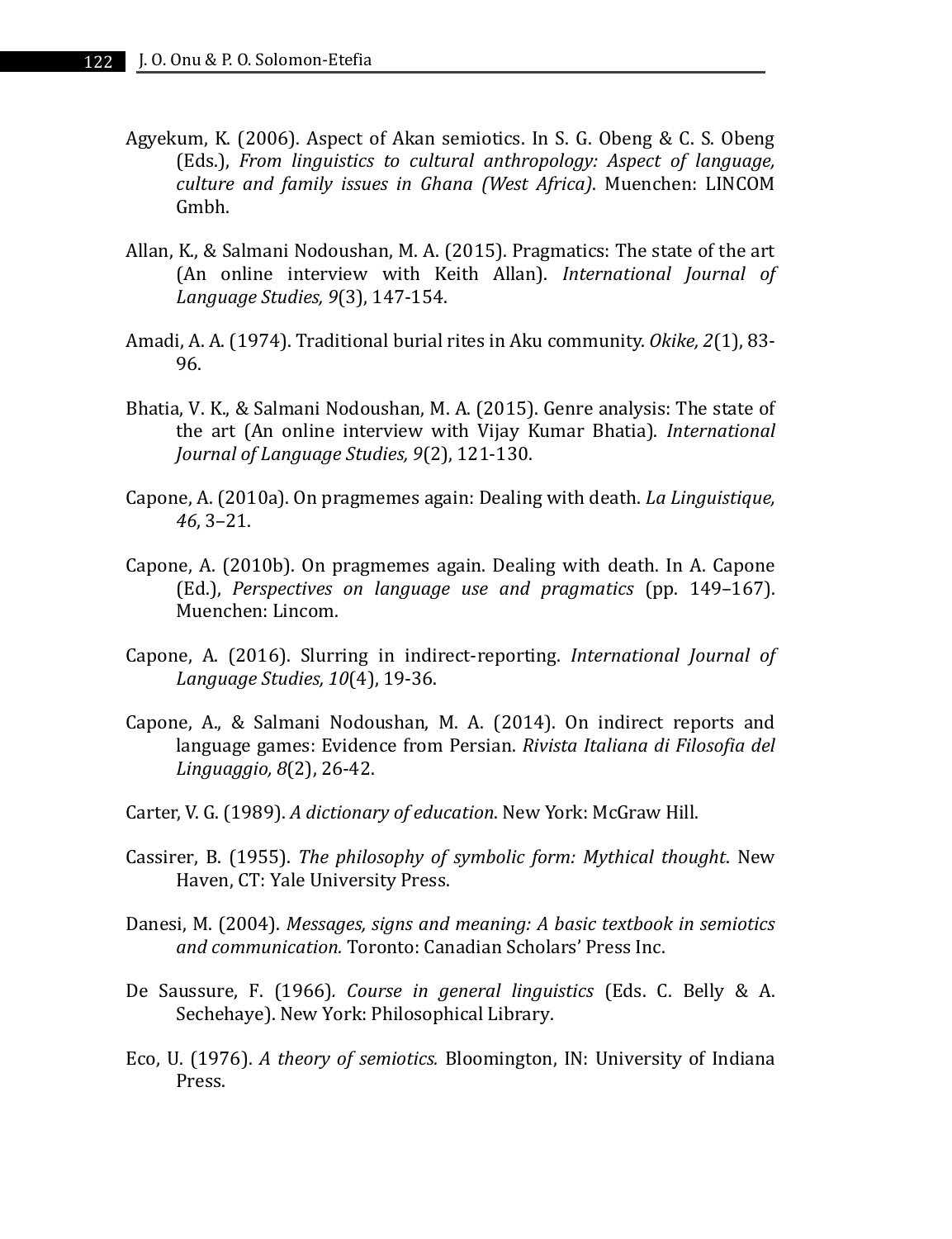- Agyekum, K. (2006). Aspect of Akan semiotics. In S. G. Obeng & C. S. Obeng (Eds.), *From linguistics to cultural anthropology: Aspect of language, culture and family issues in Ghana (West Africa)*. Muenchen: LINCOM Gmbh.
- Allan, K., & Salmani Nodoushan, M. A. (2015). Pragmatics: The state of the art (An online interview with Keith Allan). *International Journal of Language Studies, 9*(3), 147-154.
- Amadi, A. A. (1974). Traditional burial rites in Aku community. *Okike, 2*(1), 83- 96.
- Bhatia, V. K., & Salmani Nodoushan, M. A. (2015). Genre analysis: The state of the art (An online interview with Vijay Kumar Bhatia). *International Journal of Language Studies, 9*(2), 121-130.
- Capone, A. (2010a). On pragmemes again: Dealing with death. *La Linguistique, 46*, 3–21.
- Capone, A. (2010b). On pragmemes again. Dealing with death. In A. Capone (Ed.), *Perspectives on language use and pragmatics* (pp. 149–167). Muenchen: Lincom.
- Capone, A. (2016). Slurring in indirect-reporting. *International Journal of Language Studies, 10*(4), 19-36.
- Capone, A., & Salmani Nodoushan, M. A. (2014). On indirect reports and language games: Evidence from Persian. *Rivista Italiana di Filosofia del Linguaggio, 8*(2), 26-42.
- Carter, V. G. (1989). *A dictionary of education*. New York: McGraw Hill.
- Cassirer, B. (1955). *The philosophy of symbolic form: Mythical thought*. New Haven, CT: Yale University Press.
- Danesi, M. (2004). *Messages, signs and meaning: A basic textbook in semiotics and communication.* Toronto: Canadian Scholars' Press Inc.
- De Saussure, F. (1966)*. Course in general linguistics* (Eds. C. Belly & A. Sechehaye). New York: Philosophical Library.
- Eco, U. (1976). *A theory of semiotics.* Bloomington, IN: University of Indiana Press.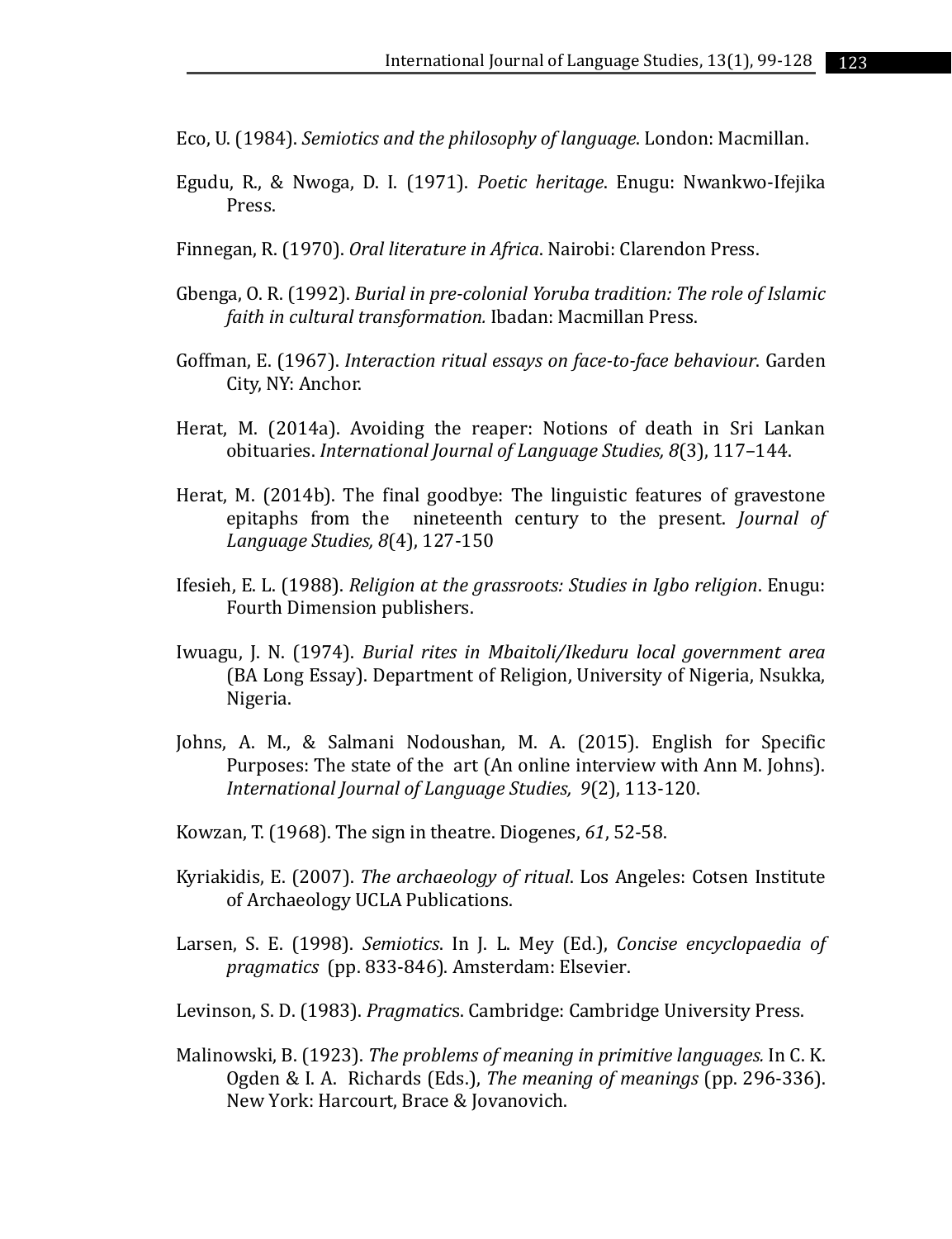Eco, U. (1984). *Semiotics and the philosophy of language*. London: Macmillan.

- Egudu, R., & Nwoga, D. I. (1971). *Poetic heritage*. Enugu: Nwankwo-Ifejika Press.
- Finnegan, R. (1970). *Oral literature in Africa*. Nairobi: Clarendon Press.
- Gbenga, O. R. (1992). *Burial in pre-colonial Yoruba tradition: The role of Islamic faith in cultural transformation.* Ibadan: Macmillan Press.
- Goffman, E. (1967). *Interaction ritual essays on face-to-face behaviour*. Garden City, NY: Anchor.
- Herat, M. (2014a). Avoiding the reaper: Notions of death in Sri Lankan obituaries. *International Journal of Language Studies, 8*(3), 117–144.
- Herat, M. (2014b). The final goodbye: The linguistic features of gravestone epitaphs from the nineteenth century to the present. *Journal of Language Studies, 8*(4), 127-150
- Ifesieh, E. L. (1988). *Religion at the grassroots: Studies in Igbo religion*. Enugu: Fourth Dimension publishers.
- Iwuagu, J. N. (1974). *Burial rites in Mbaitoli/Ikeduru local government area* (BA Long Essay). Department of Religion, University of Nigeria, Nsukka, Nigeria.
- Johns, A. M., & Salmani Nodoushan, M. A. (2015). English for Specific Purposes: The state of the art (An online interview with Ann M. Johns). *International Journal of Language Studies, 9*(2), 113-120.
- Kowzan, T. (1968). The sign in theatre. Diogenes, *61*, 52-58.
- Kyriakidis, E. (2007). *The archaeology of ritual*. Los Angeles: Cotsen Institute of Archaeology UCLA Publications.
- Larsen, S. E. (1998). *Semiotics*. In J. L. Mey (Ed.), *Concise encyclopaedia of pragmatics* (pp. 833-846). Amsterdam: Elsevier.
- Levinson, S. D. (1983). *Pragmatic*s. Cambridge: Cambridge University Press.
- Malinowski, B. (1923). *The problems of meaning in primitive languages.* In C. K. Ogden & I. A. Richards (Eds.), *The meaning of meanings* (pp. 296-336). New York: Harcourt, Brace & Jovanovich.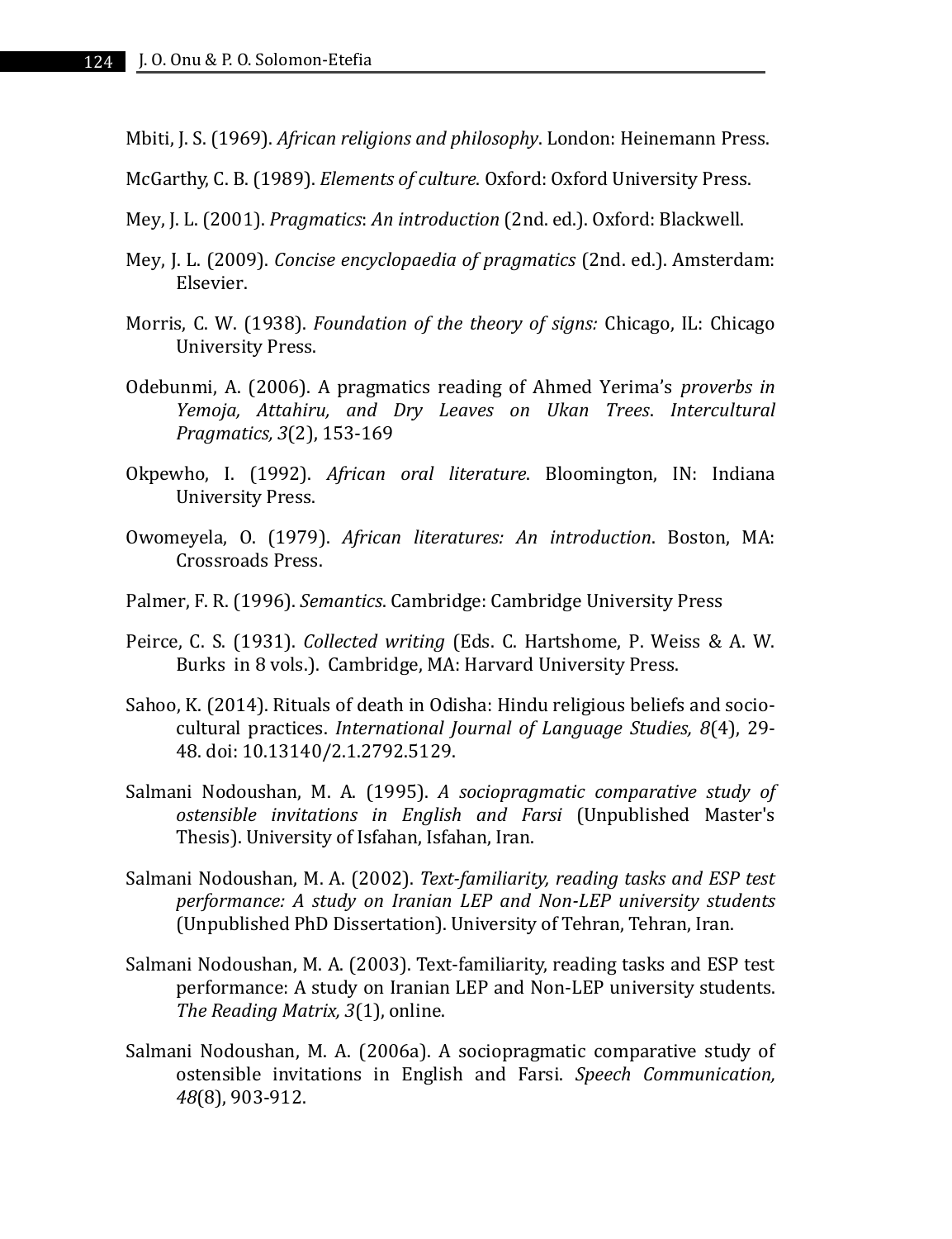Mbiti, J. S. (1969). *African religions and philosophy*. London: Heinemann Press.

McGarthy, C. B. (1989). *Elements of culture*. Oxford: Oxford University Press.

- Mey, J. L. (2001). *Pragmatics*: *An introduction* (2nd. ed.). Oxford: Blackwell.
- Mey, J. L. (2009). *Concise encyclopaedia of pragmatics* (2nd. ed.). Amsterdam: Elsevier.
- Morris, C. W. (1938). *Foundation of the theory of signs:* Chicago, IL: Chicago University Press.
- Odebunmi, A. (2006). A pragmatics reading of Ahmed Yerima's *proverbs in Yemoja, Attahiru, and Dry Leaves on Ukan Trees*. *Intercultural Pragmatics, 3*(2), 153-169
- Okpewho, I. (1992). *African oral literature*. Bloomington, IN: Indiana University Press.
- Owomeyela, O. (1979). *African literatures: An introduction*. Boston, MA: Crossroads Press.
- Palmer, F. R. (1996). *Semantics*. Cambridge: Cambridge University Press
- Peirce, C. S. (1931). *Collected writing* (Eds. C. Hartshome, P. Weiss & A. W. Burks in 8 vols.). Cambridge, MA: Harvard University Press.
- Sahoo, K. (2014). Rituals of death in Odisha: Hindu religious beliefs and sociocultural practices. *International Journal of Language Studies, 8*(4), 29- 48. doi: 10.13140/2.1.2792.5129.
- Salmani Nodoushan, M. A. (1995). *A sociopragmatic comparative study of ostensible invitations in English and Farsi* (Unpublished Master's Thesis). University of Isfahan, Isfahan, Iran.
- Salmani Nodoushan, M. A. (2002). *Text-familiarity, reading tasks and ESP test performance: A study on Iranian LEP and Non-LEP university students* (Unpublished PhD Dissertation). University of Tehran, Tehran, Iran.
- Salmani Nodoushan, M. A. (2003). Text-familiarity, reading tasks and ESP test performance: A study on Iranian LEP and Non-LEP university students. *The Reading Matrix, 3*(1), online.
- Salmani Nodoushan, M. A. (2006a). A sociopragmatic comparative study of ostensible invitations in English and Farsi. *Speech Communication, 48*(8), 903-912.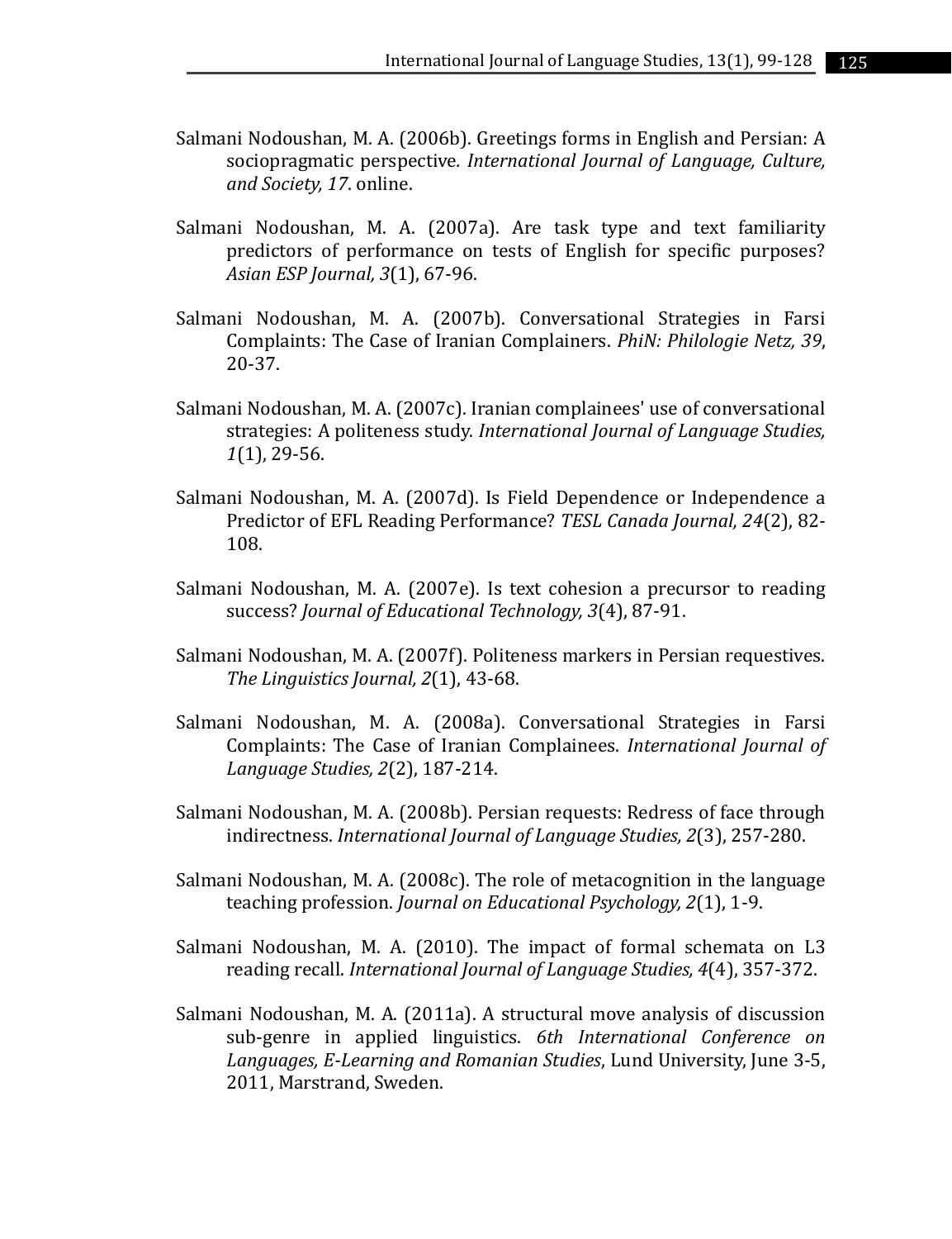- Salmani Nodoushan, M. A. (2006b). Greetings forms in English and Persian: A sociopragmatic perspective*. International Journal of Language, Culture, and Society, 17*. online.
- Salmani Nodoushan, M. A. (2007a). Are task type and text familiarity predictors of performance on tests of English for specific purposes? *Asian ESP Journal, 3*(1), 67-96.
- Salmani Nodoushan, M. A. (2007b). Conversational Strategies in Farsi Complaints: The Case of Iranian Complainers. *PhiN: Philologie Netz, 39*, 20-37.
- Salmani Nodoushan, M. A. (2007c). Iranian complainees' use of conversational strategies: A politeness study. *International Journal of Language Studies, 1*(1), 29-56.
- Salmani Nodoushan, M. A. (2007d). Is Field Dependence or Independence a Predictor of EFL Reading Performance? *TESL Canada Journal, 24*(2), 82- 108.
- Salmani Nodoushan, M. A. (2007e). Is text cohesion a precursor to reading success? *Journal of Educational Technology, 3*(4), 87-91.
- Salmani Nodoushan, M. A. (2007f). Politeness markers in Persian requestives. *The Linguistics Journal, 2*(1), 43-68.
- Salmani Nodoushan, M. A. (2008a). Conversational Strategies in Farsi Complaints: The Case of Iranian Complainees. *International Journal of Language Studies, 2*(2), 187-214.
- Salmani Nodoushan, M. A. (2008b). Persian requests: Redress of face through indirectness. *International Journal of Language Studies, 2*(3), 257-280.
- Salmani Nodoushan, M. A. (2008c). The role of metacognition in the language teaching profession. *Journal on Educational Psychology, 2*(1), 1-9.
- Salmani Nodoushan, M. A. (2010). The impact of formal schemata on L3 reading recall. *International Journal of Language Studies, 4*(4), 357-372.
- Salmani Nodoushan, M. A. (2011a). A structural move analysis of discussion sub-genre in applied linguistics. *6th International Conference on Languages, E-Learning and Romanian Studies*, Lund University, June 3-5, 2011, Marstrand, Sweden.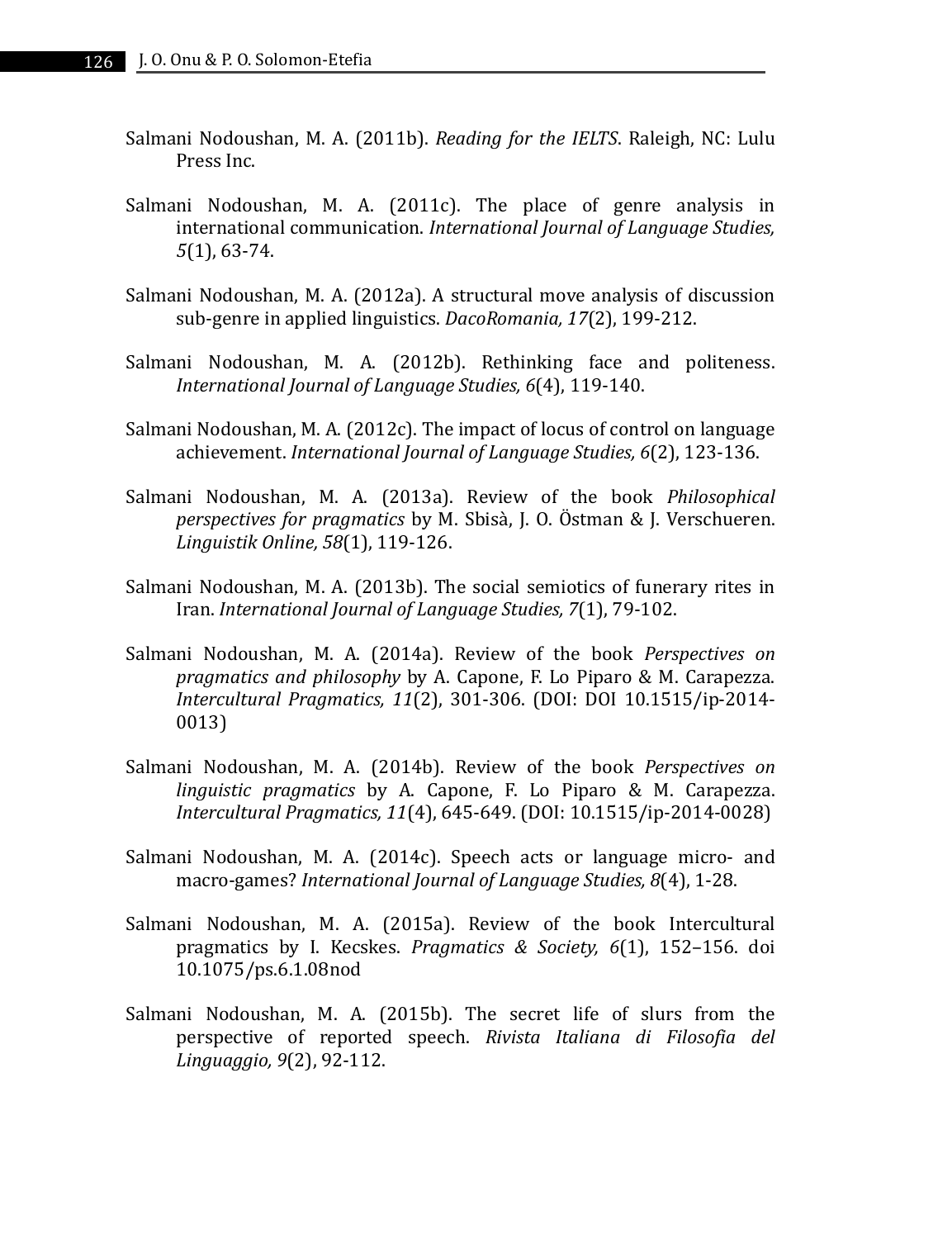- Salmani Nodoushan, M. A. (2011b). *Reading for the IELTS*. Raleigh, NC: Lulu Press Inc.
- Salmani Nodoushan, M. A. (2011c). The place of genre analysis in international communication. *International Journal of Language Studies, 5*(1), 63-74.
- Salmani Nodoushan, M. A. (2012a). A structural move analysis of discussion sub-genre in applied linguistics. *DacoRomania, 17*(2), 199-212.
- Salmani Nodoushan, M. A. (2012b). Rethinking face and politeness. *International Journal of Language Studies, 6*(4), 119-140.
- Salmani Nodoushan, M. A. (2012c). The impact of locus of control on language achievement. *International Journal of Language Studies, 6*(2), 123-136.
- Salmani Nodoushan, M. A. (2013a). Review of the book *Philosophical perspectives for pragmatics* by M. Sbisà, J. O. Östman & J. Verschueren. *Linguistik Online, 58*(1), 119-126.
- Salmani Nodoushan, M. A. (2013b). The social semiotics of funerary rites in Iran. *International Journal of Language Studies, 7*(1), 79-102.
- Salmani Nodoushan, M. A. (2014a). Review of the book *Perspectives on pragmatics and philosophy* by A. Capone, F. Lo Piparo & M. Carapezza. *Intercultural Pragmatics, 11*(2), 301-306. (DOI: DOI 10.1515/ip-2014- 0013)
- Salmani Nodoushan, M. A. (2014b). Review of the book *Perspectives on linguistic pragmatics* by A. Capone, F. Lo Piparo & M. Carapezza. *Intercultural Pragmatics, 11*(4), 645-649. (DOI: 10.1515/ip-2014-0028)
- Salmani Nodoushan, M. A. (2014c). Speech acts or language micro- and macro-games? *International Journal of Language Studies, 8*(4), 1-28.
- Salmani Nodoushan, M. A. (2015a). Review of the book Intercultural pragmatics by I. Kecskes. *Pragmatics & Society, 6*(1), 152–156. doi 10.1075/ps.6.1.08nod
- Salmani Nodoushan, M. A. (2015b). The secret life of slurs from the perspective of reported speech. *Rivista Italiana di Filosofia del Linguaggio, 9*(2), 92-112.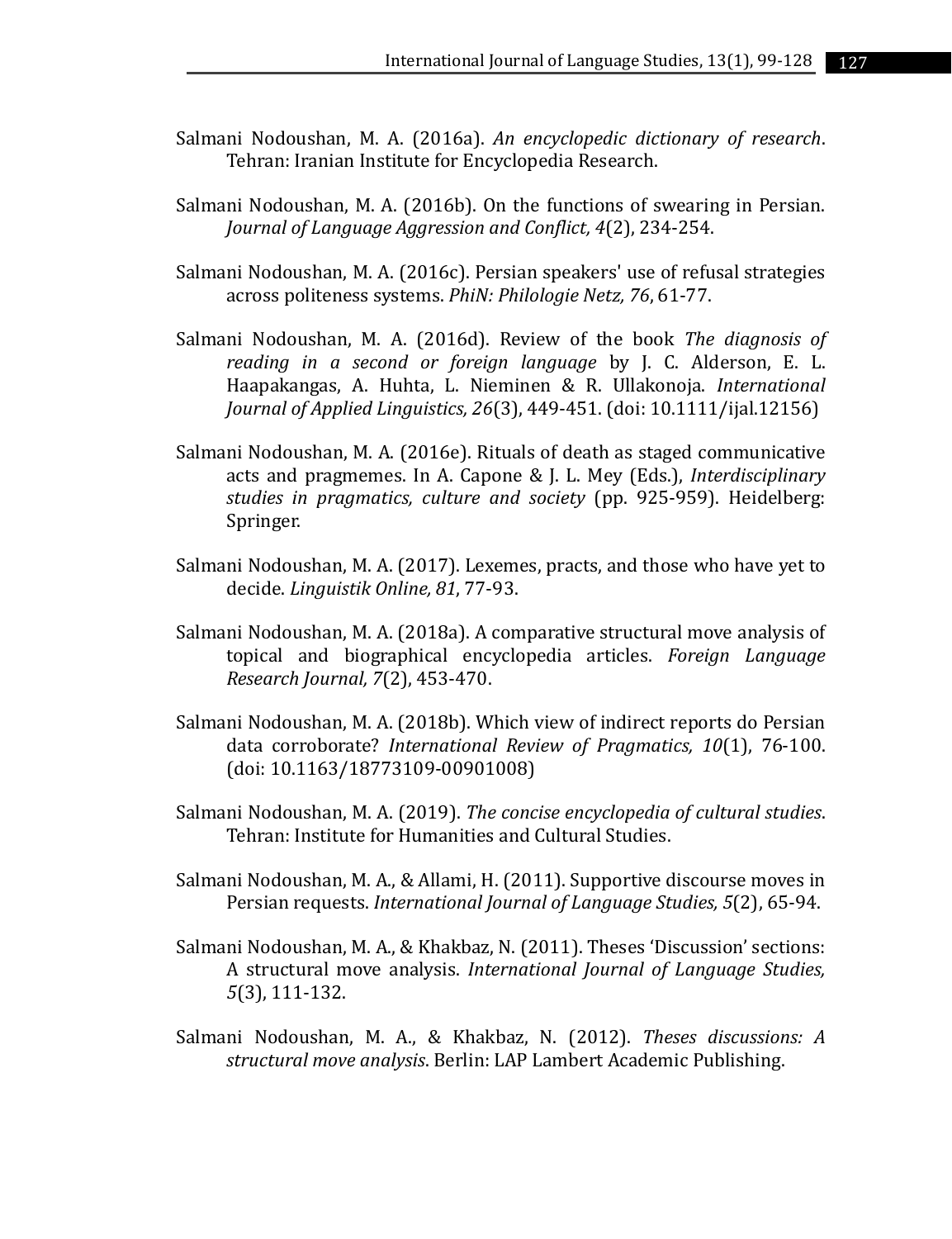- Salmani Nodoushan, M. A. (2016a). *An encyclopedic dictionary of research*. Tehran: Iranian Institute for Encyclopedia Research.
- Salmani Nodoushan, M. A. (2016b). On the functions of swearing in Persian. *Journal of Language Aggression and Conflict, 4*(2), 234-254.
- Salmani Nodoushan, M. A. (2016c). Persian speakers' use of refusal strategies across politeness systems. *PhiN: Philologie Netz, 76*, 61-77.
- Salmani Nodoushan, M. A. (2016d). Review of the book *The diagnosis of reading in a second or foreign language* by J. C. Alderson, E. L. Haapakangas, A. Huhta, L. Nieminen & R. Ullakonoja. *International Journal of Applied Linguistics, 26*(3), 449-451. (doi: 10.1111/ijal.12156)
- Salmani Nodoushan, M. A. (2016e). Rituals of death as staged communicative acts and pragmemes. In A. Capone & J. L. Mey (Eds.), *Interdisciplinary studies in pragmatics, culture and society* (pp. 925-959). Heidelberg: Springer.
- Salmani Nodoushan, M. A. (2017). Lexemes, practs, and those who have yet to decide. *Linguistik Online, 81*, 77-93.
- Salmani Nodoushan, M. A. (2018a). A comparative structural move analysis of topical and biographical encyclopedia articles. *Foreign Language Research Journal, 7*(2), 453-470.
- Salmani Nodoushan, M. A. (2018b). Which view of indirect reports do Persian data corroborate? *International Review of Pragmatics, 10*(1), 76-100. (doi: 10.1163/18773109-00901008)
- Salmani Nodoushan, M. A. (2019). *The concise encyclopedia of cultural studies*. Tehran: Institute for Humanities and Cultural Studies.
- Salmani Nodoushan, M. A., & Allami, H. (2011). Supportive discourse moves in Persian requests. *International Journal of Language Studies, 5*(2), 65-94.
- Salmani Nodoushan, M. A., & Khakbaz, N. (2011). Theses 'Discussion' sections: A structural move analysis. *International Journal of Language Studies, 5*(3), 111-132.
- Salmani Nodoushan, M. A., & Khakbaz, N. (2012). *Theses discussions: A structural move analysis*. Berlin: LAP Lambert Academic Publishing.